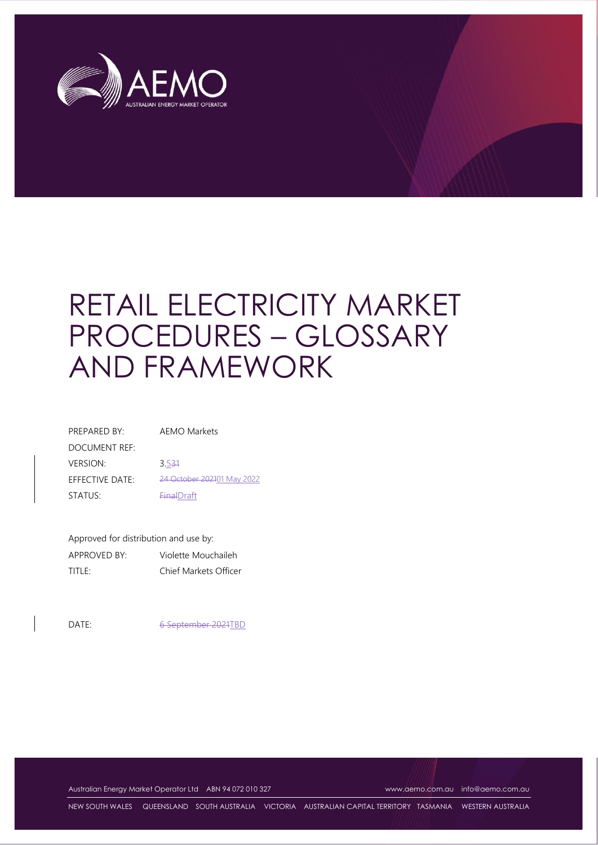

# RETAIL ELECTRICITY MARKET PROCEDURES – GLOSSARY AND FRAMEWORK

| PREPARED BY:    | AEMO Markets               |
|-----------------|----------------------------|
| DOCUMENT REF:   |                            |
| <b>VERSION:</b> | 3.534                      |
| EFFECTIVE DATE: | 24 October 202101 May 2022 |
| STATUS:         | <b>FinalDraft</b>          |

Approved for distribution and use by: APPROVED BY: Violette Mouchaileh TITLE: Chief Markets Officer

DATE: 6 September 2021TBD

Australian Energy Market Operator Ltd ABN 94 072 010 327 [www.aemo.com.au](http://www.aemo.com.au/) [info@aemo.com.au](mailto:info@aemo.com.au)

NEW SOUTH WALES QUEENSLAND SOUTH AUSTRALIA VICTORIA AUSTRALIAN CAPITAL TERRITORY TASMANIA WESTERN AUSTRALIA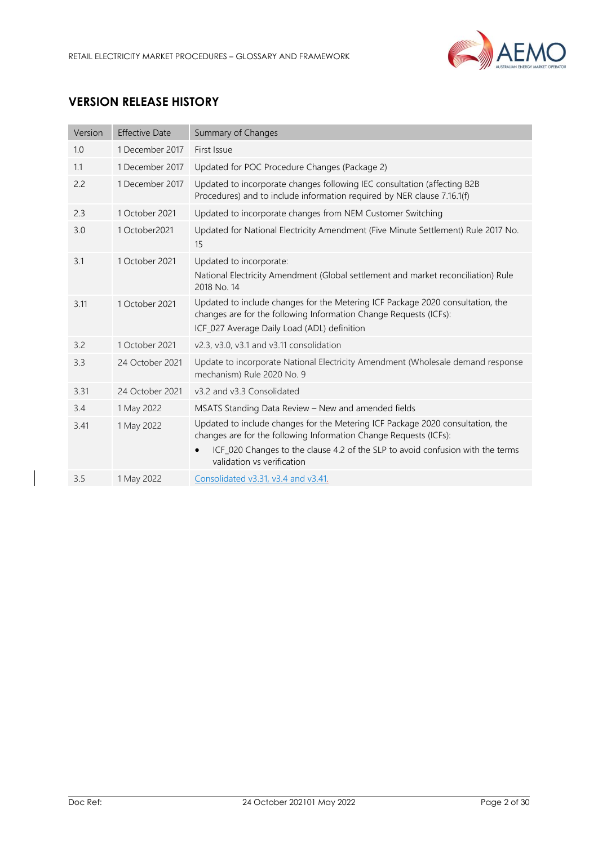

# **VERSION RELEASE HISTORY**

| Version | <b>Effective Date</b> | Summary of Changes                                                                                                                                                                                                                                                  |
|---------|-----------------------|---------------------------------------------------------------------------------------------------------------------------------------------------------------------------------------------------------------------------------------------------------------------|
| 1.0     | 1 December 2017       | First Issue                                                                                                                                                                                                                                                         |
| 1.1     | 1 December 2017       | Updated for POC Procedure Changes (Package 2)                                                                                                                                                                                                                       |
| 2.2     | 1 December 2017       | Updated to incorporate changes following IEC consultation (affecting B2B<br>Procedures) and to include information required by NER clause 7.16.1(f)                                                                                                                 |
| 2.3     | 1 October 2021        | Updated to incorporate changes from NEM Customer Switching                                                                                                                                                                                                          |
| 3.0     | 1 October 2021        | Updated for National Electricity Amendment (Five Minute Settlement) Rule 2017 No.<br>15                                                                                                                                                                             |
| 3.1     | 1 October 2021        | Updated to incorporate:<br>National Electricity Amendment (Global settlement and market reconciliation) Rule<br>2018 No. 14                                                                                                                                         |
| 3.11    | 1 October 2021        | Updated to include changes for the Metering ICF Package 2020 consultation, the<br>changes are for the following Information Change Requests (ICFs):<br>ICF_027 Average Daily Load (ADL) definition                                                                  |
| 3.2     | 1 October 2021        | v2.3, v3.0, v3.1 and v3.11 consolidation                                                                                                                                                                                                                            |
| 3.3     | 24 October 2021       | Update to incorporate National Electricity Amendment (Wholesale demand response<br>mechanism) Rule 2020 No. 9                                                                                                                                                       |
| 3.31    | 24 October 2021       | v3.2 and v3.3 Consolidated                                                                                                                                                                                                                                          |
| 3.4     | 1 May 2022            | MSATS Standing Data Review - New and amended fields                                                                                                                                                                                                                 |
| 3.41    | 1 May 2022            | Updated to include changes for the Metering ICF Package 2020 consultation, the<br>changes are for the following Information Change Requests (ICFs):<br>ICF_020 Changes to the clause 4.2 of the SLP to avoid confusion with the terms<br>validation vs verification |
| 3.5     | 1 May 2022            | Consolidated v3.31, v3.4 and v3.41.                                                                                                                                                                                                                                 |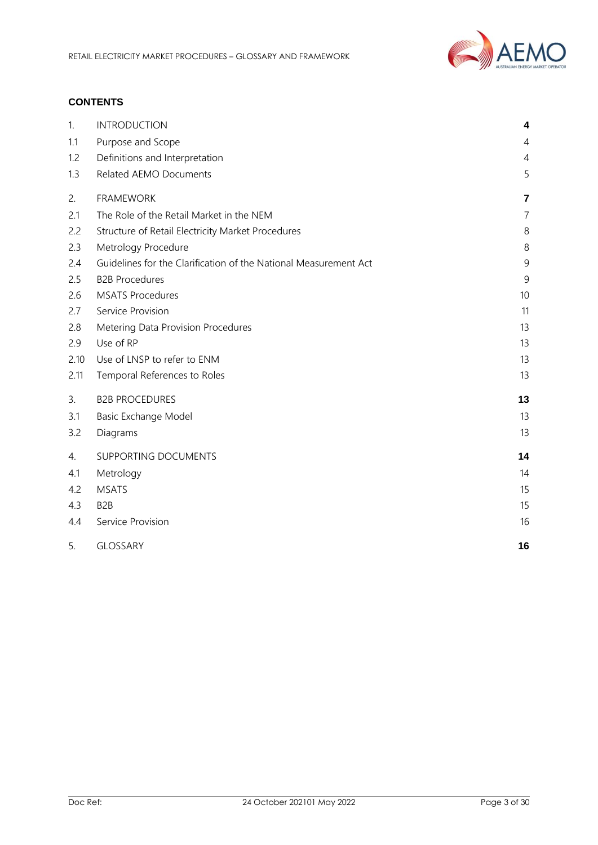

# **CONTENTS**

| 1.   | <b>INTRODUCTION</b>                                              | 4              |
|------|------------------------------------------------------------------|----------------|
| 1.1  | Purpose and Scope                                                | 4              |
| 1.2  | Definitions and Interpretation                                   | $\overline{4}$ |
| 1.3  | Related AEMO Documents                                           | 5              |
| 2.   | <b>FRAMEWORK</b>                                                 | $\overline{7}$ |
| 2.1  | The Role of the Retail Market in the NEM                         | $\overline{7}$ |
| 2.2  | Structure of Retail Electricity Market Procedures                | $\,8\,$        |
| 2.3  | Metrology Procedure                                              | 8              |
| 2.4  | Guidelines for the Clarification of the National Measurement Act | 9              |
| 2.5  | <b>B2B Procedures</b>                                            | $\overline{9}$ |
| 2.6  | <b>MSATS Procedures</b>                                          | 10             |
| 2.7  | Service Provision                                                | 11             |
| 2.8  | Metering Data Provision Procedures                               | 13             |
| 2.9  | Use of RP                                                        | 13             |
| 2.10 | Use of LNSP to refer to ENM                                      | 13             |
| 2.11 | Temporal References to Roles                                     | 13             |
| 3.   | <b>B2B PROCEDURES</b>                                            | 13             |
| 3.1  | Basic Exchange Model                                             | 13             |
| 3.2  | Diagrams                                                         | 13             |
| 4.   | SUPPORTING DOCUMENTS                                             | 14             |
| 4.1  | Metrology                                                        | 14             |
| 4.2  | <b>MSATS</b>                                                     | 15             |
| 4.3  | B <sub>2</sub> B                                                 | 15             |
| 4.4  | Service Provision                                                | 16             |
| 5.   | <b>GLOSSARY</b>                                                  | 16             |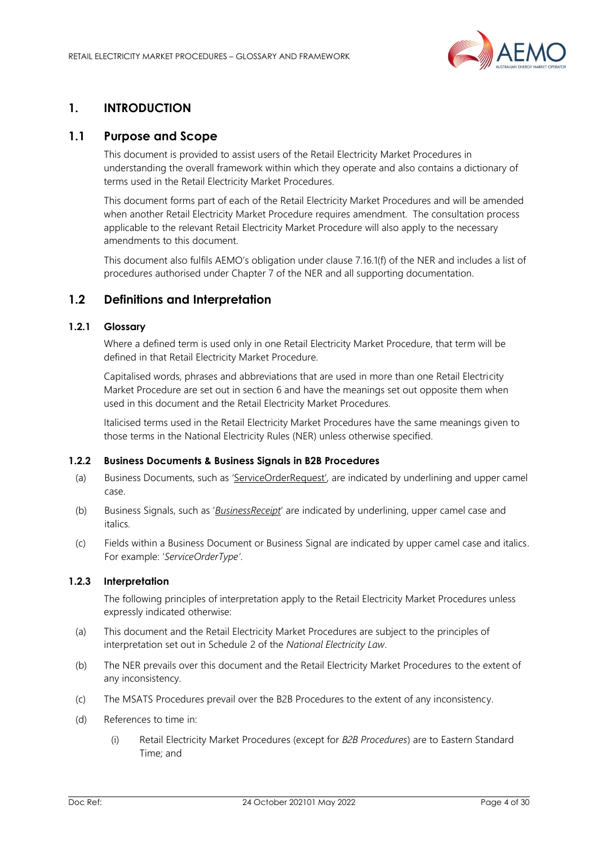

# <span id="page-3-0"></span>**1. INTRODUCTION**

# <span id="page-3-1"></span>**1.1 Purpose and Scope**

This document is provided to assist users of the Retail Electricity Market Procedures in understanding the overall framework within which they operate and also contains a dictionary of terms used in the Retail Electricity Market Procedures.

This document forms part of each of the Retail Electricity Market Procedures and will be amended when another Retail Electricity Market Procedure requires amendment. The consultation process applicable to the relevant Retail Electricity Market Procedure will also apply to the necessary amendments to this document.

This document also fulfils AEMO's obligation under clause 7.16.1(f) of the NER and includes a list of procedures authorised under Chapter 7 of the NER and all supporting documentation.

# <span id="page-3-2"></span>**1.2 Definitions and Interpretation**

## **1.2.1 Glossary**

Where a defined term is used only in one Retail Electricity Market Procedure, that term will be defined in that Retail Electricity Market Procedure.

Capitalised words, phrases and abbreviations that are used in more than one Retail Electricity Market Procedure are set out in section 6 and have the meanings set out opposite them when used in this document and the Retail Electricity Market Procedures.

Italicised terms used in the Retail Electricity Market Procedures have the same meanings given to those terms in the National Electricity Rules (NER) unless otherwise specified.

## **1.2.2 Business Documents & Business Signals in B2B Procedures**

- (a) Business Documents, such as 'ServiceOrderRequest', are indicated by underlining and upper camel case.
- (b) Business Signals, such as '*BusinessReceipt*' are indicated by underlining, upper camel case and italics*.*
- (c) Fields within a Business Document or Business Signal are indicated by upper camel case and italics. For example: '*ServiceOrderType'*.

## **1.2.3 Interpretation**

The following principles of interpretation apply to the Retail Electricity Market Procedures unless expressly indicated otherwise:

- (a) This document and the Retail Electricity Market Procedures are subject to the principles of interpretation set out in Schedule 2 of the *National Electricity Law*.
- (b) The NER prevails over this document and the Retail Electricity Market Procedures to the extent of any inconsistency.
- (c) The MSATS Procedures prevail over the B2B Procedures to the extent of any inconsistency.
- (d) References to time in:
	- (i) Retail Electricity Market Procedures (except for *B2B Procedures*) are to Eastern Standard Time; and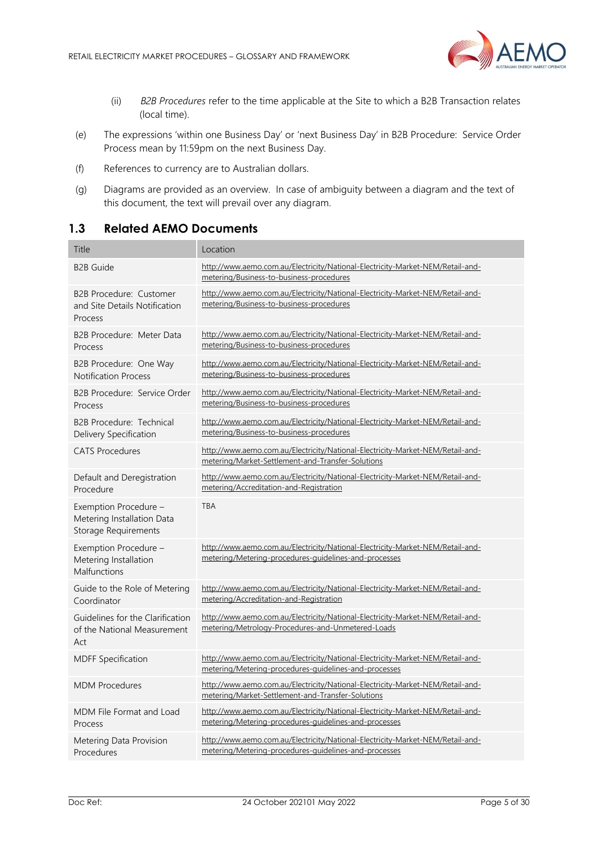

- (ii) *B2B Procedures* refer to the time applicable at the Site to which a B2B Transaction relates (local time).
- (e) The expressions 'within one Business Day' or 'next Business Day' in B2B Procedure: Service Order Process mean by 11:59pm on the next Business Day.
- (f) References to currency are to Australian dollars.
- (g) Diagrams are provided as an overview. In case of ambiguity between a diagram and the text of this document, the text will prevail over any diagram.

# <span id="page-4-0"></span>**1.3 Related AEMO Documents**

| <b>Title</b>                                                                | Location                                                                                                                                |
|-----------------------------------------------------------------------------|-----------------------------------------------------------------------------------------------------------------------------------------|
| <b>B2B Guide</b>                                                            | http://www.aemo.com.au/Electricity/National-Electricity-Market-NEM/Retail-and-<br>metering/Business-to-business-procedures              |
| <b>B2B Procedure: Customer</b><br>and Site Details Notification<br>Process  | http://www.aemo.com.au/Electricity/National-Electricity-Market-NEM/Retail-and-<br>metering/Business-to-business-procedures              |
| B2B Procedure: Meter Data<br>Process                                        | http://www.aemo.com.au/Electricity/National-Electricity-Market-NEM/Retail-and-<br>metering/Business-to-business-procedures              |
| B2B Procedure: One Way<br><b>Notification Process</b>                       | http://www.aemo.com.au/Electricity/National-Electricity-Market-NEM/Retail-and-<br>metering/Business-to-business-procedures              |
| B2B Procedure: Service Order<br>Process                                     | http://www.aemo.com.au/Electricity/National-Electricity-Market-NEM/Retail-and-<br>metering/Business-to-business-procedures              |
| B2B Procedure: Technical<br>Delivery Specification                          | http://www.aemo.com.au/Electricity/National-Electricity-Market-NEM/Retail-and-<br>metering/Business-to-business-procedures              |
| <b>CATS Procedures</b>                                                      | http://www.aemo.com.au/Electricity/National-Electricity-Market-NEM/Retail-and-<br>metering/Market-Settlement-and-Transfer-Solutions     |
| Default and Deregistration<br>Procedure                                     | http://www.aemo.com.au/Electricity/National-Electricity-Market-NEM/Retail-and-<br>metering/Accreditation-and-Registration               |
| Exemption Procedure -<br>Metering Installation Data<br>Storage Requirements | <b>TBA</b>                                                                                                                              |
| Exemption Procedure -<br>Metering Installation<br>Malfunctions              | http://www.aemo.com.au/Electricity/National-Electricity-Market-NEM/Retail-and-<br>metering/Metering-procedures-guidelines-and-processes |
| Guide to the Role of Metering<br>Coordinator                                | http://www.aemo.com.au/Electricity/National-Electricity-Market-NEM/Retail-and-<br>metering/Accreditation-and-Registration               |
| Guidelines for the Clarification<br>of the National Measurement<br>Act      | http://www.aemo.com.au/Electricity/National-Electricity-Market-NEM/Retail-and-<br>metering/Metrology-Procedures-and-Unmetered-Loads     |
| <b>MDFF Specification</b>                                                   | http://www.aemo.com.au/Electricity/National-Electricity-Market-NEM/Retail-and-<br>metering/Metering-procedures-guidelines-and-processes |
| <b>MDM Procedures</b>                                                       | http://www.aemo.com.au/Electricity/National-Electricity-Market-NEM/Retail-and-<br>metering/Market-Settlement-and-Transfer-Solutions     |
| MDM File Format and Load<br>Process                                         | http://www.aemo.com.au/Electricity/National-Electricity-Market-NEM/Retail-and-<br>metering/Metering-procedures-quidelines-and-processes |
| Metering Data Provision<br>Procedures                                       | http://www.aemo.com.au/Electricity/National-Electricity-Market-NEM/Retail-and-<br>metering/Metering-procedures-quidelines-and-processes |
|                                                                             |                                                                                                                                         |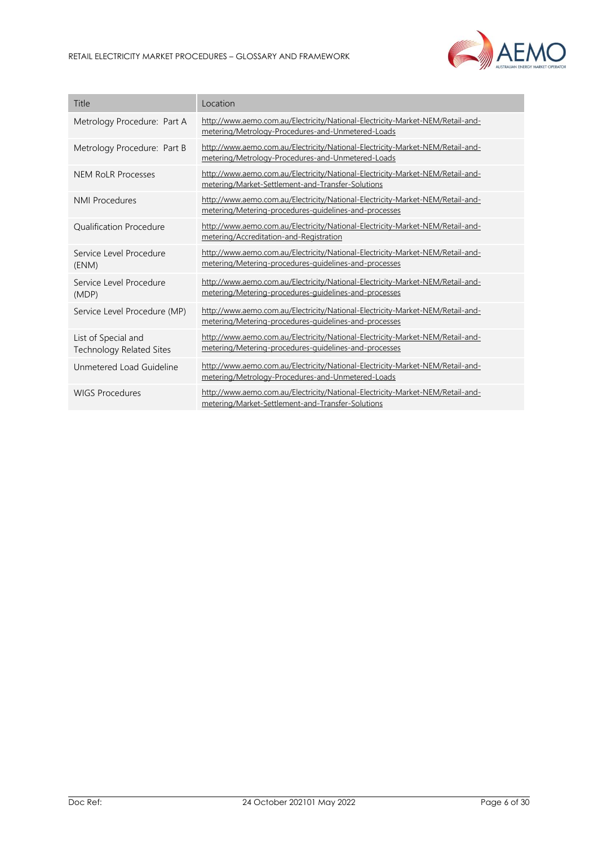

| Title                                                  | Location                                                                                                                                |
|--------------------------------------------------------|-----------------------------------------------------------------------------------------------------------------------------------------|
| Metrology Procedure: Part A                            | http://www.aemo.com.au/Electricity/National-Electricity-Market-NEM/Retail-and-<br>metering/Metrology-Procedures-and-Unmetered-Loads     |
| Metrology Procedure: Part B                            | http://www.aemo.com.au/Electricity/National-Electricity-Market-NEM/Retail-and-<br>metering/Metrology-Procedures-and-Unmetered-Loads     |
| <b>NEM RoLR Processes</b>                              | http://www.aemo.com.au/Electricity/National-Electricity-Market-NEM/Retail-and-<br>metering/Market-Settlement-and-Transfer-Solutions     |
| <b>NMI Procedures</b>                                  | http://www.aemo.com.au/Electricity/National-Electricity-Market-NEM/Retail-and-<br>metering/Metering-procedures-guidelines-and-processes |
| <b>Oualification Procedure</b>                         | http://www.aemo.com.au/Electricity/National-Electricity-Market-NEM/Retail-and-<br>metering/Accreditation-and-Registration               |
| Service Level Procedure<br>(ENM)                       | http://www.aemo.com.au/Electricity/National-Electricity-Market-NEM/Retail-and-<br>metering/Metering-procedures-guidelines-and-processes |
| Service Level Procedure<br>(MDP)                       | http://www.aemo.com.au/Electricity/National-Electricity-Market-NEM/Retail-and-<br>metering/Metering-procedures-guidelines-and-processes |
| Service Level Procedure (MP)                           | http://www.aemo.com.au/Electricity/National-Electricity-Market-NEM/Retail-and-<br>metering/Metering-procedures-guidelines-and-processes |
| List of Special and<br><b>Technology Related Sites</b> | http://www.aemo.com.au/Electricity/National-Electricity-Market-NEM/Retail-and-<br>metering/Metering-procedures-guidelines-and-processes |
| Unmetered Load Guideline                               | http://www.aemo.com.au/Electricity/National-Electricity-Market-NEM/Retail-and-<br>metering/Metrology-Procedures-and-Unmetered-Loads     |
| <b>WIGS Procedures</b>                                 | http://www.aemo.com.au/Electricity/National-Electricity-Market-NEM/Retail-and-<br>metering/Market-Settlement-and-Transfer-Solutions     |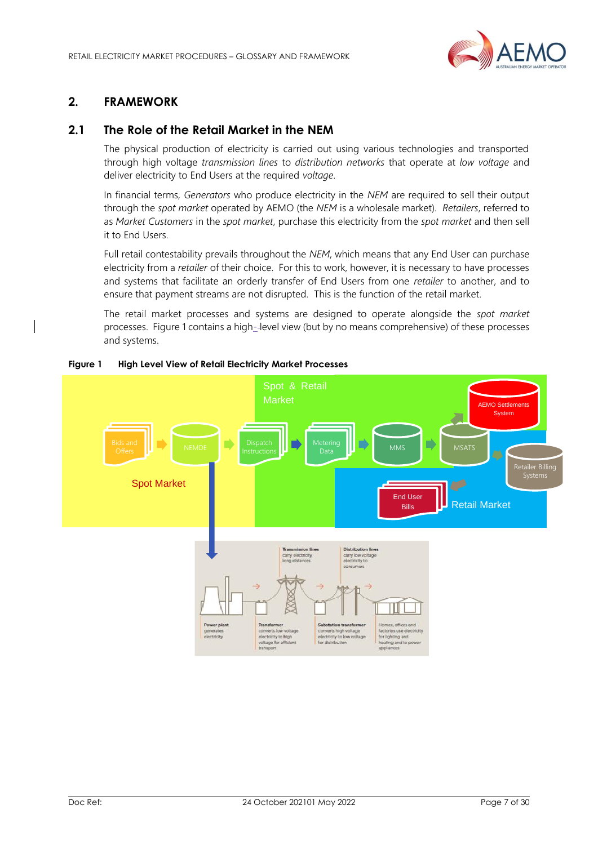

# <span id="page-6-0"></span>**2. FRAMEWORK**

# <span id="page-6-1"></span>**2.1 The Role of the Retail Market in the NEM**

The physical production of electricity is carried out using various technologies and transported through high voltage *transmission lines* to *distribution networks* that operate at *low voltage* and deliver electricity to End Users at the required *voltage*.

In financial terms, *Generators* who produce electricity in the *NEM* are required to sell their output through the *spot market* operated by AEMO (the *NEM* is a wholesale market). *Retailers*, referred to as *Market Customers* in the *spot market*, purchase this electricity from the *spot market* and then sell it to End Users.

Full retail contestability prevails throughout the *NEM*, which means that any End User can purchase electricity from a *retailer* of their choice. For this to work, however, it is necessary to have processes and systems that facilitate an orderly transfer of End Users from one *retailer* to another, and to ensure that payment streams are not disrupted. This is the function of the retail market.

The retail market processes and systems are designed to operate alongside the *spot market* processes. Figure 1 contains a high--level view (but by no means comprehensive) of these processes and systems.



#### **Figure 1 High Level View of Retail Electricity Market Processes**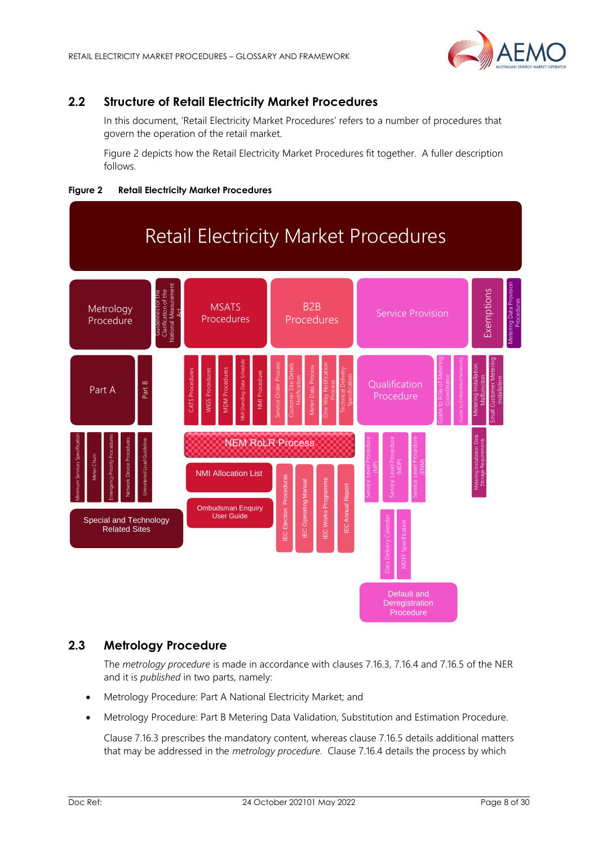

# <span id="page-7-0"></span>**2.2 Structure of Retail Electricity Market Procedures**

In this document, 'Retail Electricity Market Procedures' refers to a number of procedures that govern the operation of the retail market.

Figure 2 depicts how the Retail Electricity Market Procedures fit together. A fuller description follows.





# <span id="page-7-1"></span>**2.3 Metrology Procedure**

The *metrology procedure* is made in accordance with clauses 7.16.3, 7.16.4 and 7.16.5 of the NER and it is *published* in two parts, namely:

- Metrology Procedure: Part A National Electricity Market; and
- Metrology Procedure: Part B Metering Data Validation, Substitution and Estimation Procedure.

Clause 7.16.3 prescribes the mandatory content, whereas clause 7.16.5 details additional matters that may be addressed in the *metrology procedure*. Clause 7.16.4 details the process by which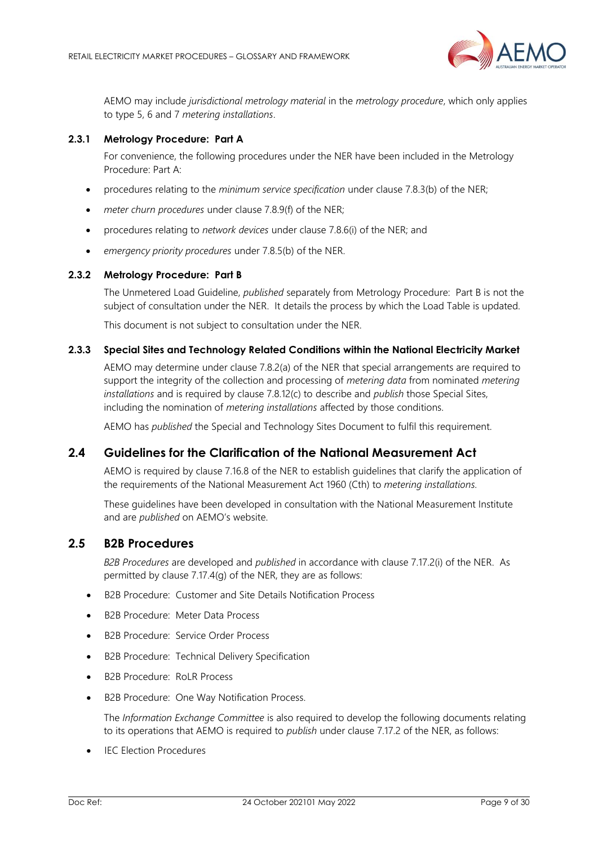

AEMO may include *jurisdictional metrology material* in the *metrology procedure*, which only applies to type 5, 6 and 7 *metering installations*.

## **2.3.1 Metrology Procedure: Part A**

For convenience, the following procedures under the NER have been included in the Metrology Procedure: Part A:

- procedures relating to the *minimum service specification* under clause 7.8.3(b) of the NER;
- *meter churn procedures* under clause 7.8.9(f) of the NER;
- procedures relating to *network devices* under clause 7.8.6(i) of the NER; and
- *emergency priority procedures* under 7.8.5(b) of the NER.

## **2.3.2 Metrology Procedure: Part B**

The Unmetered Load Guideline, *published* separately from Metrology Procedure: Part B is not the subject of consultation under the NER. It details the process by which the Load Table is updated.

This document is not subject to consultation under the NER.

## **2.3.3 Special Sites and Technology Related Conditions within the National Electricity Market**

AEMO may determine under clause 7.8.2(a) of the NER that special arrangements are required to support the integrity of the collection and processing of *metering data* from nominated *metering installations* and is required by clause 7.8.12(c) to describe and *publish* those Special Sites, including the nomination of *metering installations* affected by those conditions.

AEMO has *published* the Special and Technology Sites Document to fulfil this requirement.

# <span id="page-8-0"></span>**2.4 Guidelines for the Clarification of the National Measurement Act**

AEMO is required by clause 7.16.8 of the NER to establish guidelines that clarify the application of the requirements of the National Measurement Act 1960 (Cth) to *metering installations.*

These guidelines have been developed in consultation with the National Measurement Institute and are *published* on AEMO's website.

# <span id="page-8-1"></span>**2.5 B2B Procedures**

*B2B Procedures* are developed and *published* in accordance with clause 7.17.2(i) of the NER. As permitted by clause 7.17.4(g) of the NER, they are as follows:

- B2B Procedure: Customer and Site Details Notification Process
- B2B Procedure: Meter Data Process
- B2B Procedure: Service Order Process
- B2B Procedure: Technical Delivery Specification
- B2B Procedure: RoLR Process
- B2B Procedure: One Way Notification Process.

The *Information Exchange Committee* is also required to develop the following documents relating to its operations that AEMO is required to *publish* under clause 7.17.2 of the NER, as follows:

**IEC Election Procedures**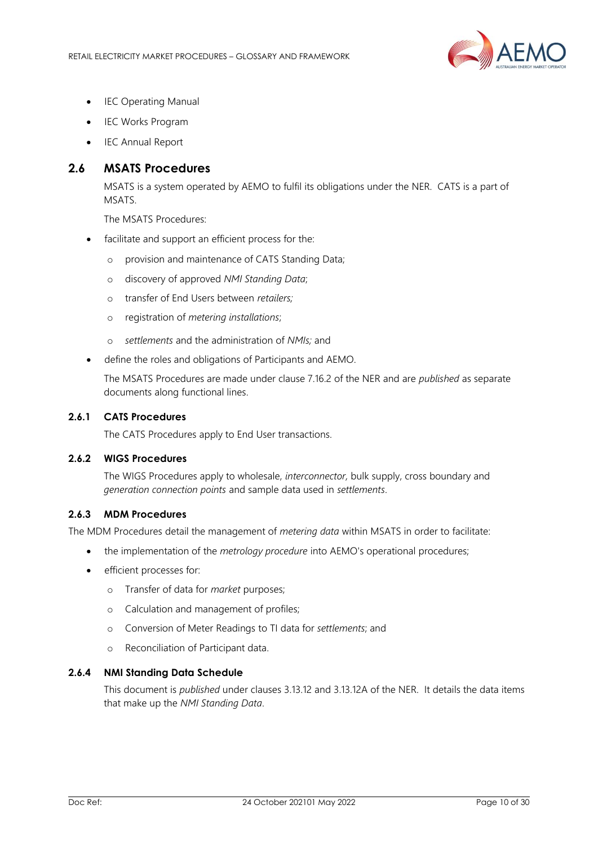

- **IEC Operating Manual**
- IEC Works Program
- IEC Annual Report

# <span id="page-9-0"></span>**2.6 MSATS Procedures**

MSATS is a system operated by AEMO to fulfil its obligations under the NER. CATS is a part of MSATS.

The MSATS Procedures:

- facilitate and support an efficient process for the:
	- o provision and maintenance of CATS Standing Data;
	- o discovery of approved *NMI Standing Data*;
	- o transfer of End Users between *retailers;*
	- o registration of *metering installations*;
	- o *settlements* and the administration of *NMIs;* and
- define the roles and obligations of Participants and AEMO.

The MSATS Procedures are made under clause 7.16.2 of the NER and are *published* as separate documents along functional lines.

## **2.6.1 CATS Procedures**

The CATS Procedures apply to End User transactions.

## **2.6.2 WIGS Procedures**

The WIGS Procedures apply to wholesale, *interconnector,* bulk supply, cross boundary and *generation connection points* and sample data used in *settlements*.

## **2.6.3 MDM Procedures**

The MDM Procedures detail the management of *metering data* within MSATS in order to facilitate:

- the implementation of the *metrology procedure* into AEMO's operational procedures;
- efficient processes for:
	- o Transfer of data for *market* purposes;
	- o Calculation and management of profiles;
	- o Conversion of Meter Readings to TI data for *settlements*; and
	- o Reconciliation of Participant data.

## **2.6.4 NMI Standing Data Schedule**

This document is *published* under clauses 3.13.12 and 3.13.12A of the NER. It details the data items that make up the *NMI Standing Data*.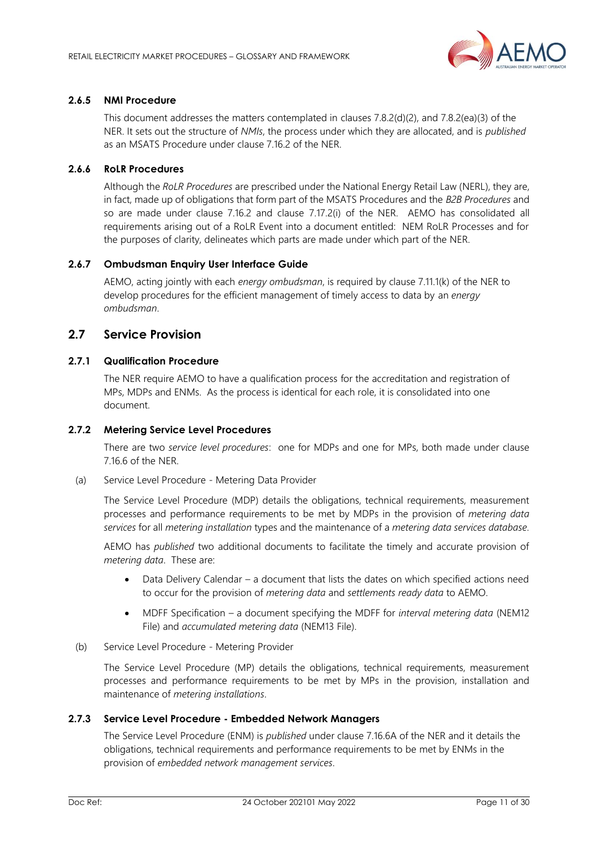

## **2.6.5 NMI Procedure**

This document addresses the matters contemplated in clauses 7.8.2(d)(2), and 7.8.2(ea)(3) of the NER. It sets out the structure of *NMIs*, the process under which they are allocated, and is *published* as an MSATS Procedure under clause 7.16.2 of the NER.

## **2.6.6 RoLR Procedures**

Although the *RoLR Procedures* are prescribed under the National Energy Retail Law (NERL), they are, in fact, made up of obligations that form part of the MSATS Procedures and the *B2B Procedures* and so are made under clause 7.16.2 and clause 7.17.2(i) of the NER. AEMO has consolidated all requirements arising out of a RoLR Event into a document entitled: NEM RoLR Processes and for the purposes of clarity, delineates which parts are made under which part of the NER.

## **2.6.7 Ombudsman Enquiry User Interface Guide**

AEMO, acting jointly with each *energy ombudsman*, is required by clause 7.11.1(k) of the NER to develop procedures for the efficient management of timely access to data by an *energy ombudsman*.

# <span id="page-10-0"></span>**2.7 Service Provision**

## **2.7.1 Qualification Procedure**

The NER require AEMO to have a qualification process for the accreditation and registration of MPs, MDPs and ENMs. As the process is identical for each role, it is consolidated into one document.

## **2.7.2 Metering Service Level Procedures**

There are two *service level procedures*: one for MDPs and one for MPs, both made under clause 7.16.6 of the NER.

(a) Service Level Procedure - Metering Data Provider

The Service Level Procedure (MDP) details the obligations, technical requirements, measurement processes and performance requirements to be met by MDPs in the provision of *metering data services* for all *metering installation* types and the maintenance of a *metering data services database.*

AEMO has *published* two additional documents to facilitate the timely and accurate provision of *metering data*. These are:

- Data Delivery Calendar a document that lists the dates on which specified actions need to occur for the provision of *metering data* and *settlements ready data* to AEMO.
- MDFF Specification a document specifying the MDFF for *interval metering data* (NEM12 File) and *accumulated metering data* (NEM13 File).
- (b) Service Level Procedure Metering Provider

The Service Level Procedure (MP) details the obligations, technical requirements, measurement processes and performance requirements to be met by MPs in the provision, installation and maintenance of *metering installations*.

## **2.7.3 Service Level Procedure - Embedded Network Managers**

The Service Level Procedure (ENM) is *published* under clause 7.16.6A of the NER and it details the obligations, technical requirements and performance requirements to be met by ENMs in the provision of *embedded network management services*.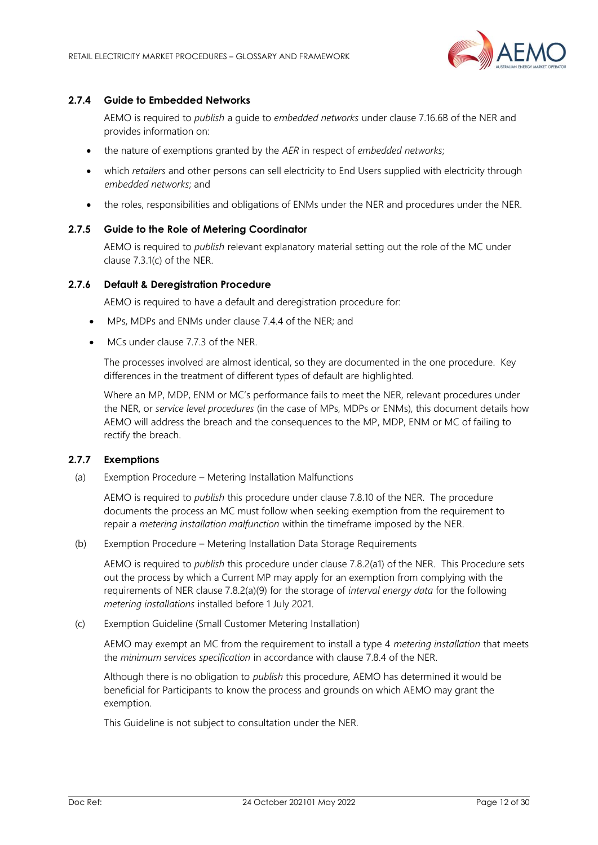

## **2.7.4 Guide to Embedded Networks**

AEMO is required to *publish* a guide to *embedded networks* under clause 7.16.6B of the NER and provides information on:

- the nature of exemptions granted by the *AER* in respect of *embedded networks*;
- which *retailers* and other persons can sell electricity to End Users supplied with electricity through *embedded networks*; and
- the roles, responsibilities and obligations of ENMs under the NER and procedures under the NER.

#### **2.7.5 Guide to the Role of Metering Coordinator**

AEMO is required to *publish* relevant explanatory material setting out the role of the MC under clause 7.3.1(c) of the NER.

#### **2.7.6 Default & Deregistration Procedure**

AEMO is required to have a default and deregistration procedure for:

- MPs, MDPs and ENMs under clause 7.4.4 of the NER; and
- MCs under clause 7.7.3 of the NFR.

The processes involved are almost identical, so they are documented in the one procedure. Key differences in the treatment of different types of default are highlighted.

Where an MP, MDP, ENM or MC's performance fails to meet the NER, relevant procedures under the NER, or *service level procedures* (in the case of MPs, MDPs or ENMs), this document details how AEMO will address the breach and the consequences to the MP, MDP, ENM or MC of failing to rectify the breach.

#### **2.7.7 Exemptions**

(a) Exemption Procedure – Metering Installation Malfunctions

AEMO is required to *publish* this procedure under clause 7.8.10 of the NER. The procedure documents the process an MC must follow when seeking exemption from the requirement to repair a *metering installation malfunction* within the timeframe imposed by the NER.

(b) Exemption Procedure – Metering Installation Data Storage Requirements

AEMO is required to *publish* this procedure under clause 7.8.2(a1) of the NER. This Procedure sets out the process by which a Current MP may apply for an exemption from complying with the requirements of NER clause 7.8.2(a)(9) for the storage of *interval energy data* for the following *metering installations* installed before 1 July 2021.

(c) Exemption Guideline (Small Customer Metering Installation)

AEMO may exempt an MC from the requirement to install a type 4 *metering installation* that meets the *minimum services specification* in accordance with clause 7.8.4 of the NER.

Although there is no obligation to *publish* this procedure, AEMO has determined it would be beneficial for Participants to know the process and grounds on which AEMO may grant the exemption.

This Guideline is not subject to consultation under the NER.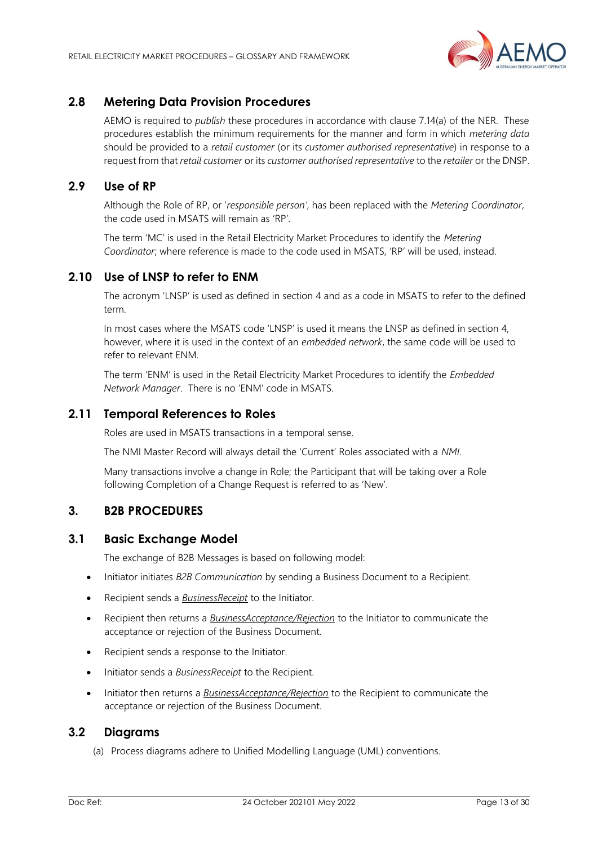

# <span id="page-12-0"></span>**2.8 Metering Data Provision Procedures**

AEMO is required to *publish* these procedures in accordance with clause 7.14(a) of the NER. These procedures establish the minimum requirements for the manner and form in which *metering data* should be provided to a *retail customer* (or its *customer authorised representative*) in response to a request from that *retail customer* or its *customer authorised representative* to the *retailer* or the DNSP.

# <span id="page-12-1"></span>**2.9 Use of RP**

Although the Role of RP, or '*responsible person'*, has been replaced with the *Metering Coordinator*, the code used in MSATS will remain as 'RP'.

The term 'MC' is used in the Retail Electricity Market Procedures to identify the *Metering Coordinator*; where reference is made to the code used in MSATS, 'RP' will be used, instead.

# <span id="page-12-2"></span>**2.10 Use of LNSP to refer to ENM**

The acronym 'LNSP' is used as defined in section 4 and as a code in MSATS to refer to the defined term.

In most cases where the MSATS code 'LNSP' is used it means the LNSP as defined in section 4, however, where it is used in the context of an *embedded network*, the same code will be used to refer to relevant ENM.

The term 'ENM' is used in the Retail Electricity Market Procedures to identify the *Embedded Network Manager*. There is no 'ENM' code in MSATS.

# <span id="page-12-3"></span>**2.11 Temporal References to Roles**

Roles are used in MSATS transactions in a temporal sense.

The NMI Master Record will always detail the 'Current' Roles associated with a *NMI*.

Many transactions involve a change in Role; the Participant that will be taking over a Role following Completion of a Change Request is referred to as 'New'.

# <span id="page-12-4"></span>**3. B2B PROCEDURES**

## <span id="page-12-5"></span>**3.1 Basic Exchange Model**

The exchange of B2B Messages is based on following model:

- Initiator initiates *B2B Communication* by sending a Business Document to a Recipient.
- Recipient sends a *BusinessReceipt* to the Initiator.
- Recipient then returns a *BusinessAcceptance/Rejection* to the Initiator to communicate the acceptance or rejection of the Business Document.
- Recipient sends a response to the Initiator.
- Initiator sends a *BusinessReceipt* to the Recipient.
- Initiator then returns a *BusinessAcceptance/Rejection* to the Recipient to communicate the acceptance or rejection of the Business Document.

# <span id="page-12-6"></span>**3.2 Diagrams**

(a) Process diagrams adhere to Unified Modelling Language (UML) conventions.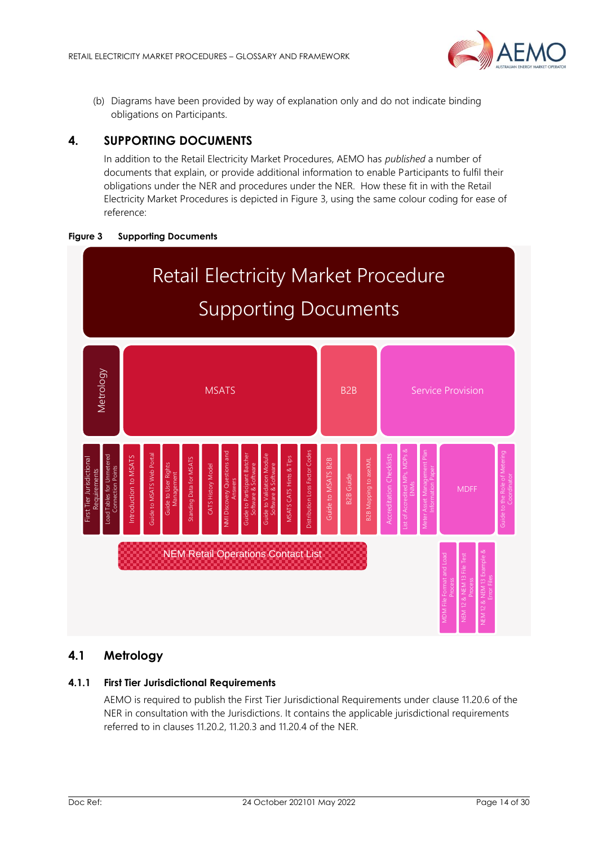

(b) Diagrams have been provided by way of explanation only and do not indicate binding obligations on Participants.

# <span id="page-13-0"></span>**4. SUPPORTING DOCUMENTS**

In addition to the Retail Electricity Market Procedures, AEMO has *published* a number of documents that explain, or provide additional information to enable Participants to fulfil their obligations under the NER and procedures under the NER. How these fit in with the Retail Electricity Market Procedures is depicted in Figure 3, using the same colour coding for ease of reference:





# <span id="page-13-1"></span>**4.1 Metrology**

# **4.1.1 First Tier Jurisdictional Requirements**

AEMO is required to publish the First Tier Jurisdictional Requirements under clause 11.20.6 of the NER in consultation with the Jurisdictions. It contains the applicable jurisdictional requirements referred to in clauses 11.20.2, 11.20.3 and 11.20.4 of the NER.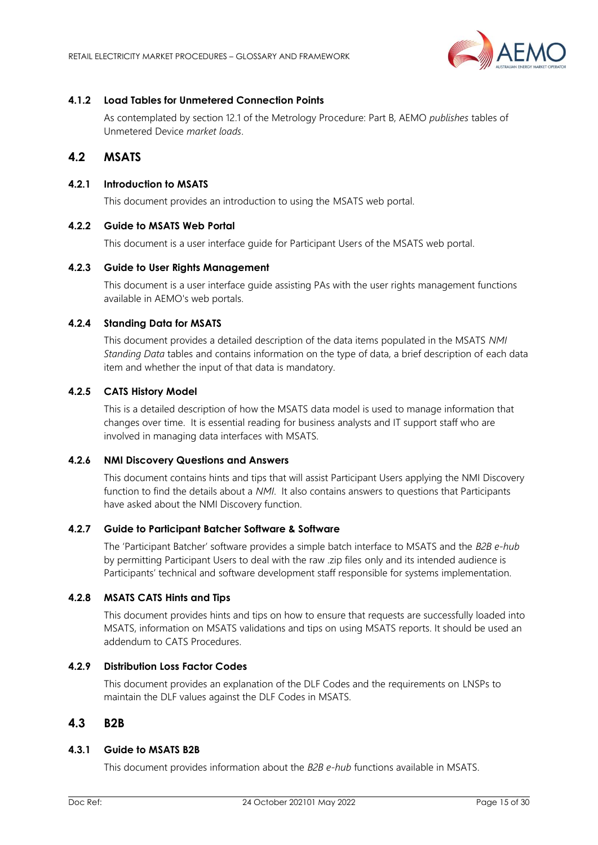

## **4.1.2 Load Tables for Unmetered Connection Points**

As contemplated by section 12.1 of the Metrology Procedure: Part B, AEMO *publishes* tables of Unmetered Device *market loads*.

# <span id="page-14-0"></span>**4.2 MSATS**

## **4.2.1 Introduction to MSATS**

This document provides an introduction to using the MSATS web portal.

## **4.2.2 Guide to MSATS Web Portal**

This document is a user interface guide for Participant Users of the MSATS web portal.

## **4.2.3 Guide to User Rights Management**

This document is a user interface guide assisting PAs with the user rights management functions available in AEMO's web portals.

# **4.2.4 Standing Data for MSATS**

This document provides a detailed description of the data items populated in the MSATS *NMI Standing Data* tables and contains information on the type of data, a brief description of each data item and whether the input of that data is mandatory.

# **4.2.5 CATS History Model**

This is a detailed description of how the MSATS data model is used to manage information that changes over time. It is essential reading for business analysts and IT support staff who are involved in managing data interfaces with MSATS.

## **4.2.6 NMI Discovery Questions and Answers**

This document contains hints and tips that will assist Participant Users applying the NMI Discovery function to find the details about a *NMI*. It also contains answers to questions that Participants have asked about the NMI Discovery function.

## **4.2.7 Guide to Participant Batcher Software & Software**

The 'Participant Batcher' software provides a simple batch interface to MSATS and the *B2B e-hub* by permitting Participant Users to deal with the raw .zip files only and its intended audience is Participants' technical and software development staff responsible for systems implementation.

## **4.2.8 MSATS CATS Hints and Tips**

This document provides hints and tips on how to ensure that requests are successfully loaded into MSATS, information on MSATS validations and tips on using MSATS reports. It should be used an addendum to CATS Procedures.

## **4.2.9 Distribution Loss Factor Codes**

This document provides an explanation of the DLF Codes and the requirements on LNSPs to maintain the DLF values against the DLF Codes in MSATS.

# <span id="page-14-1"></span>**4.3 B2B**

## **4.3.1 Guide to MSATS B2B**

This document provides information about the *B2B e-hub* functions available in MSATS.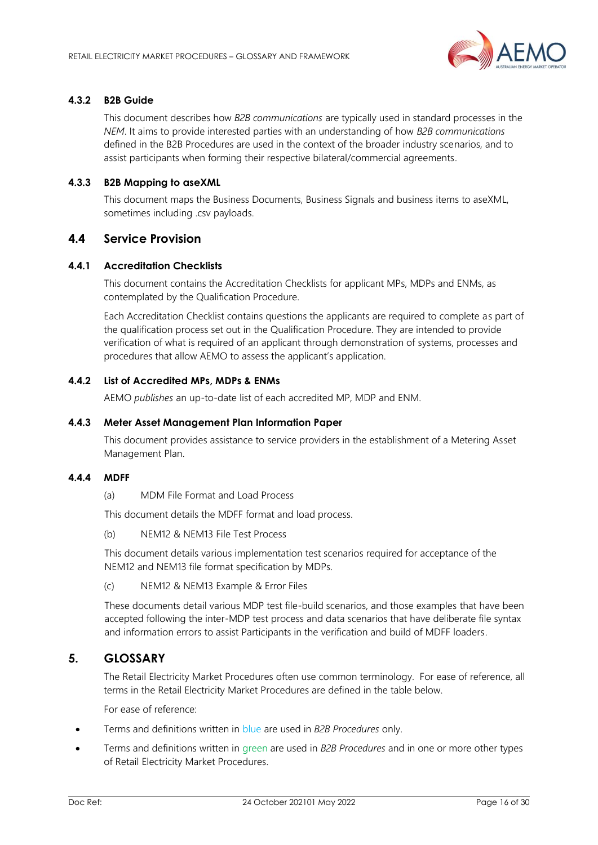

## **4.3.2 B2B Guide**

This document describes how *B2B communications* are typically used in standard processes in the *NEM*. It aims to provide interested parties with an understanding of how *B2B communications* defined in the B2B Procedures are used in the context of the broader industry scenarios, and to assist participants when forming their respective bilateral/commercial agreements.

## **4.3.3 B2B Mapping to aseXML**

This document maps the Business Documents, Business Signals and business items to aseXML, sometimes including .csv payloads.

# <span id="page-15-0"></span>**4.4 Service Provision**

## **4.4.1 Accreditation Checklists**

This document contains the Accreditation Checklists for applicant MPs, MDPs and ENMs, as contemplated by the Qualification Procedure.

Each Accreditation Checklist contains questions the applicants are required to complete as part of the qualification process set out in the Qualification Procedure. They are intended to provide verification of what is required of an applicant through demonstration of systems, processes and procedures that allow AEMO to assess the applicant's application.

## **4.4.2 List of Accredited MPs, MDPs & ENMs**

AEMO *publishes* an up-to-date list of each accredited MP, MDP and ENM.

#### **4.4.3 Meter Asset Management Plan Information Paper**

This document provides assistance to service providers in the establishment of a Metering Asset Management Plan.

## **4.4.4 MDFF**

(a) MDM File Format and Load Process

This document details the MDFF format and load process.

(b) NEM12 & NEM13 File Test Process

This document details various implementation test scenarios required for acceptance of the NEM12 and NEM13 file format specification by MDPs.

(c) NEM12 & NEM13 Example & Error Files

These documents detail various MDP test file-build scenarios, and those examples that have been accepted following the inter-MDP test process and data scenarios that have deliberate file syntax and information errors to assist Participants in the verification and build of MDFF loaders.

# <span id="page-15-1"></span>**5. GLOSSARY**

The Retail Electricity Market Procedures often use common terminology. For ease of reference, all terms in the Retail Electricity Market Procedures are defined in the table below.

For ease of reference:

- Terms and definitions written in blue are used in *B2B Procedures* only.
- Terms and definitions written in green are used in *B2B Procedures* and in one or more other types of Retail Electricity Market Procedures.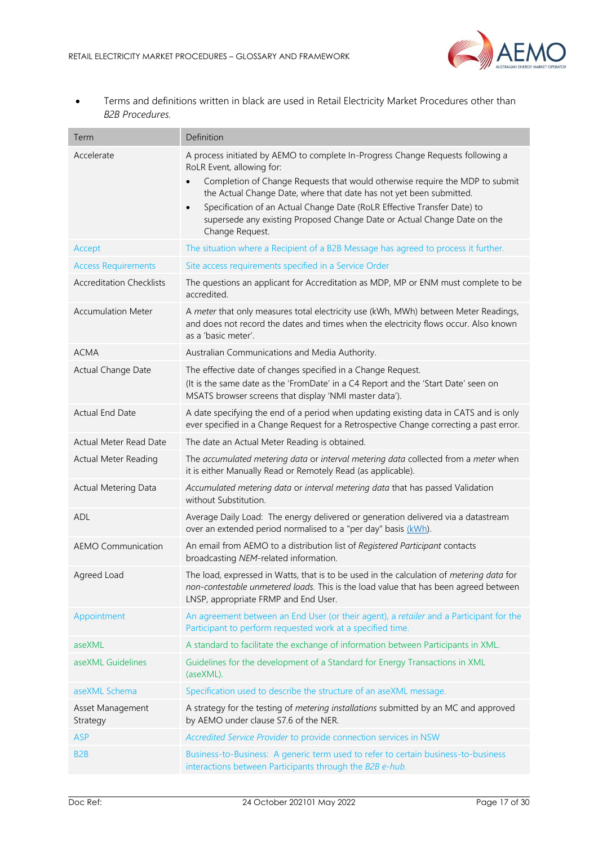

• Terms and definitions written in black are used in Retail Electricity Market Procedures other than *B2B Procedures.*

| Term                            | Definition                                                                                                                                                                                                                                                                                                                                                                                                                                                               |
|---------------------------------|--------------------------------------------------------------------------------------------------------------------------------------------------------------------------------------------------------------------------------------------------------------------------------------------------------------------------------------------------------------------------------------------------------------------------------------------------------------------------|
| Accelerate                      | A process initiated by AEMO to complete In-Progress Change Requests following a<br>RoLR Event, allowing for:<br>Completion of Change Requests that would otherwise require the MDP to submit<br>$\bullet$<br>the Actual Change Date, where that date has not yet been submitted.<br>Specification of an Actual Change Date (RoLR Effective Transfer Date) to<br>$\bullet$<br>supersede any existing Proposed Change Date or Actual Change Date on the<br>Change Request. |
| Accept                          | The situation where a Recipient of a B2B Message has agreed to process it further.                                                                                                                                                                                                                                                                                                                                                                                       |
| <b>Access Requirements</b>      | Site access requirements specified in a Service Order                                                                                                                                                                                                                                                                                                                                                                                                                    |
| <b>Accreditation Checklists</b> | The questions an applicant for Accreditation as MDP, MP or ENM must complete to be<br>accredited.                                                                                                                                                                                                                                                                                                                                                                        |
| <b>Accumulation Meter</b>       | A meter that only measures total electricity use (kWh, MWh) between Meter Readings,<br>and does not record the dates and times when the electricity flows occur. Also known<br>as a 'basic meter'.                                                                                                                                                                                                                                                                       |
| <b>ACMA</b>                     | Australian Communications and Media Authority.                                                                                                                                                                                                                                                                                                                                                                                                                           |
| Actual Change Date              | The effective date of changes specified in a Change Request.<br>(It is the same date as the 'FromDate' in a C4 Report and the 'Start Date' seen on<br>MSATS browser screens that display 'NMI master data').                                                                                                                                                                                                                                                             |
| Actual End Date                 | A date specifying the end of a period when updating existing data in CATS and is only<br>ever specified in a Change Request for a Retrospective Change correcting a past error.                                                                                                                                                                                                                                                                                          |
| Actual Meter Read Date          | The date an Actual Meter Reading is obtained.                                                                                                                                                                                                                                                                                                                                                                                                                            |
| <b>Actual Meter Reading</b>     | The accumulated metering data or interval metering data collected from a meter when<br>it is either Manually Read or Remotely Read (as applicable).                                                                                                                                                                                                                                                                                                                      |
| <b>Actual Metering Data</b>     | Accumulated metering data or interval metering data that has passed Validation<br>without Substitution.                                                                                                                                                                                                                                                                                                                                                                  |
| ADL                             | Average Daily Load: The energy delivered or generation delivered via a datastream<br>over an extended period normalised to a "per day" basis (kWh).                                                                                                                                                                                                                                                                                                                      |
| <b>AEMO Communication</b>       | An email from AEMO to a distribution list of Registered Participant contacts<br>broadcasting NEM-related information.                                                                                                                                                                                                                                                                                                                                                    |
| Agreed Load                     | The load, expressed in Watts, that is to be used in the calculation of metering data for<br>non-contestable unmetered loads. This is the load value that has been agreed between<br>LNSP, appropriate FRMP and End User.                                                                                                                                                                                                                                                 |
| Appointment                     | An agreement between an End User (or their agent), a retailer and a Participant for the<br>Participant to perform requested work at a specified time.                                                                                                                                                                                                                                                                                                                    |
| aseXML                          | A standard to facilitate the exchange of information between Participants in XML.                                                                                                                                                                                                                                                                                                                                                                                        |
| aseXML Guidelines               | Guidelines for the development of a Standard for Energy Transactions in XML<br>(aseXML).                                                                                                                                                                                                                                                                                                                                                                                 |
| aseXML Schema                   | Specification used to describe the structure of an aseXML message.                                                                                                                                                                                                                                                                                                                                                                                                       |
| Asset Management<br>Strategy    | A strategy for the testing of metering installations submitted by an MC and approved<br>by AEMO under clause S7.6 of the NER.                                                                                                                                                                                                                                                                                                                                            |
| <b>ASP</b>                      | Accredited Service Provider to provide connection services in NSW                                                                                                                                                                                                                                                                                                                                                                                                        |
| B <sub>2</sub> B                | Business-to-Business: A generic term used to refer to certain business-to-business<br>interactions between Participants through the B2B e-hub.                                                                                                                                                                                                                                                                                                                           |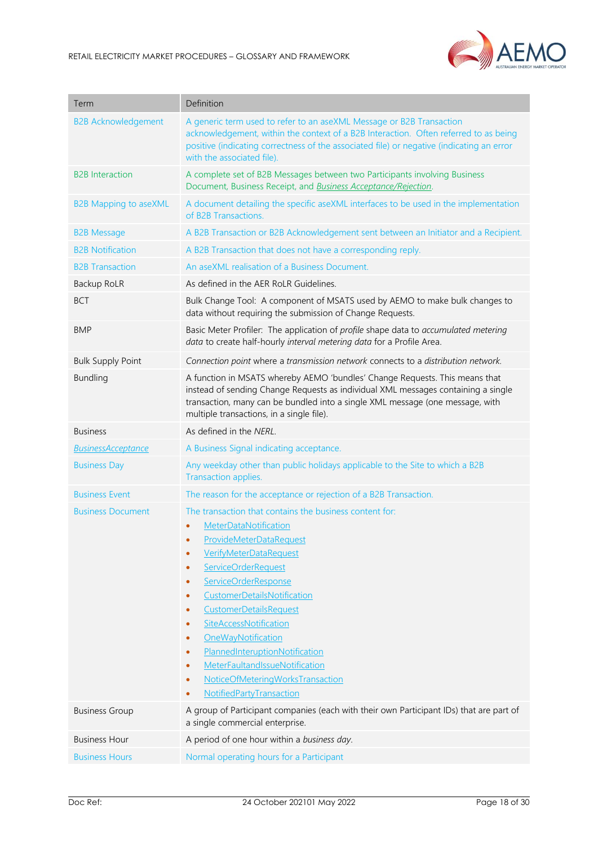

| Term                         | Definition                                                                                                                                                                                                                                                                                                                                                                                                                                                                                                                                                                                                   |
|------------------------------|--------------------------------------------------------------------------------------------------------------------------------------------------------------------------------------------------------------------------------------------------------------------------------------------------------------------------------------------------------------------------------------------------------------------------------------------------------------------------------------------------------------------------------------------------------------------------------------------------------------|
| <b>B2B Acknowledgement</b>   | A generic term used to refer to an aseXML Message or B2B Transaction<br>acknowledgement, within the context of a B2B Interaction. Often referred to as being<br>positive (indicating correctness of the associated file) or negative (indicating an error<br>with the associated file).                                                                                                                                                                                                                                                                                                                      |
| <b>B2B</b> Interaction       | A complete set of B2B Messages between two Participants involving Business<br>Document, Business Receipt, and <b>Business Acceptance/Rejection</b> .                                                                                                                                                                                                                                                                                                                                                                                                                                                         |
| <b>B2B Mapping to aseXML</b> | A document detailing the specific aseXML interfaces to be used in the implementation<br>of B2B Transactions                                                                                                                                                                                                                                                                                                                                                                                                                                                                                                  |
| <b>B2B Message</b>           | A B2B Transaction or B2B Acknowledgement sent between an Initiator and a Recipient.                                                                                                                                                                                                                                                                                                                                                                                                                                                                                                                          |
| <b>B2B Notification</b>      | A B2B Transaction that does not have a corresponding reply.                                                                                                                                                                                                                                                                                                                                                                                                                                                                                                                                                  |
| <b>B2B Transaction</b>       | An aseXML realisation of a Business Document.                                                                                                                                                                                                                                                                                                                                                                                                                                                                                                                                                                |
| Backup RoLR                  | As defined in the AER RoLR Guidelines.                                                                                                                                                                                                                                                                                                                                                                                                                                                                                                                                                                       |
| <b>BCT</b>                   | Bulk Change Tool: A component of MSATS used by AEMO to make bulk changes to<br>data without requiring the submission of Change Requests.                                                                                                                                                                                                                                                                                                                                                                                                                                                                     |
| <b>BMP</b>                   | Basic Meter Profiler: The application of profile shape data to accumulated metering<br>data to create half-hourly interval metering data for a Profile Area.                                                                                                                                                                                                                                                                                                                                                                                                                                                 |
| <b>Bulk Supply Point</b>     | Connection point where a transmission network connects to a distribution network.                                                                                                                                                                                                                                                                                                                                                                                                                                                                                                                            |
| <b>Bundling</b>              | A function in MSATS whereby AEMO 'bundles' Change Requests. This means that<br>instead of sending Change Requests as individual XML messages containing a single<br>transaction, many can be bundled into a single XML message (one message, with<br>multiple transactions, in a single file).                                                                                                                                                                                                                                                                                                               |
| <b>Business</b>              | As defined in the NERL.                                                                                                                                                                                                                                                                                                                                                                                                                                                                                                                                                                                      |
| <b>BusinessAcceptance</b>    | A Business Signal indicating acceptance.                                                                                                                                                                                                                                                                                                                                                                                                                                                                                                                                                                     |
| <b>Business Day</b>          | Any weekday other than public holidays applicable to the Site to which a B2B<br>Transaction applies.                                                                                                                                                                                                                                                                                                                                                                                                                                                                                                         |
| <b>Business Event</b>        | The reason for the acceptance or rejection of a B2B Transaction.                                                                                                                                                                                                                                                                                                                                                                                                                                                                                                                                             |
| <b>Business Document</b>     | The transaction that contains the business content for:<br>MeterDataNotification<br>$\bullet$<br><b>ProvideMeterDataRequest</b><br><b>VerifyMeterDataRequest</b><br>$\bullet$<br>ServiceOrderRequest<br>$\bullet$<br>ServiceOrderResponse<br>$\bullet$<br><b>CustomerDetailsNotification</b><br>$\bullet$<br><b>CustomerDetailsRequest</b><br>$\bullet$<br>SiteAccessNotification<br>$\bullet$<br>OneWayNotification<br>$\bullet$<br>PlannedInteruptionNotification<br>$\bullet$<br>MeterFaultandIssueNotification<br>$\bullet$<br>NoticeOfMeteringWorksTransaction<br>$\bullet$<br>NotifiedPartyTransaction |
| <b>Business Group</b>        | A group of Participant companies (each with their own Participant IDs) that are part of<br>a single commercial enterprise.                                                                                                                                                                                                                                                                                                                                                                                                                                                                                   |
| <b>Business Hour</b>         | A period of one hour within a business day.                                                                                                                                                                                                                                                                                                                                                                                                                                                                                                                                                                  |
| <b>Business Hours</b>        | Normal operating hours for a Participant                                                                                                                                                                                                                                                                                                                                                                                                                                                                                                                                                                     |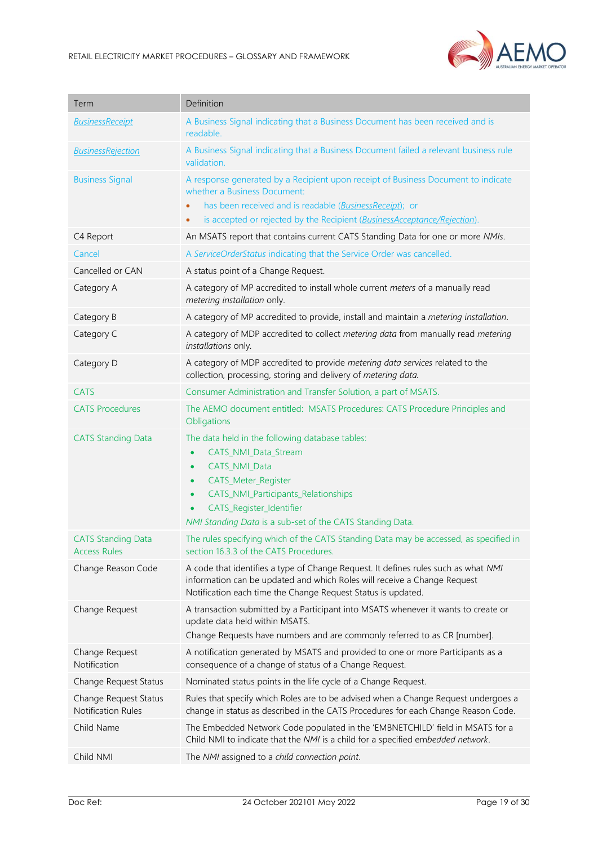

| Term                                             | Definition                                                                                                                                                                                                                                                                                          |
|--------------------------------------------------|-----------------------------------------------------------------------------------------------------------------------------------------------------------------------------------------------------------------------------------------------------------------------------------------------------|
| <b>BusinessReceipt</b>                           | A Business Signal indicating that a Business Document has been received and is<br>readable.                                                                                                                                                                                                         |
| <b>BusinessRejection</b>                         | A Business Signal indicating that a Business Document failed a relevant business rule<br>validation.                                                                                                                                                                                                |
| <b>Business Signal</b>                           | A response generated by a Recipient upon receipt of Business Document to indicate<br>whether a Business Document:                                                                                                                                                                                   |
|                                                  | has been received and is readable (BusinessReceipt); or<br>is accepted or rejected by the Recipient (BusinessAcceptance/Rejection).                                                                                                                                                                 |
| C4 Report                                        | An MSATS report that contains current CATS Standing Data for one or more NMIs.                                                                                                                                                                                                                      |
| Cancel                                           | A ServiceOrderStatus indicating that the Service Order was cancelled.                                                                                                                                                                                                                               |
| Cancelled or CAN                                 | A status point of a Change Request.                                                                                                                                                                                                                                                                 |
| Category A                                       | A category of MP accredited to install whole current meters of a manually read<br>metering installation only.                                                                                                                                                                                       |
| Category B                                       | A category of MP accredited to provide, install and maintain a metering installation.                                                                                                                                                                                                               |
| Category C                                       | A category of MDP accredited to collect metering data from manually read metering<br>installations only.                                                                                                                                                                                            |
| Category D                                       | A category of MDP accredited to provide metering data services related to the<br>collection, processing, storing and delivery of metering data.                                                                                                                                                     |
| <b>CATS</b>                                      | Consumer Administration and Transfer Solution, a part of MSATS.                                                                                                                                                                                                                                     |
| <b>CATS Procedures</b>                           | The AEMO document entitled: MSATS Procedures: CATS Procedure Principles and<br>Obligations                                                                                                                                                                                                          |
| <b>CATS Standing Data</b>                        | The data held in the following database tables:<br>CATS_NMI_Data_Stream<br>$\bullet$<br>CATS_NMI_Data<br>$\bullet$<br>CATS_Meter_Register<br>$\bullet$<br>CATS_NMI_Participants_Relationships<br>$\bullet$<br>CATS_Register_Identifier<br>NMI Standing Data is a sub-set of the CATS Standing Data. |
| <b>CATS Standing Data</b><br><b>Access Rules</b> | The rules specifying which of the CATS Standing Data may be accessed, as specified in<br>section 16.3.3 of the CATS Procedures.                                                                                                                                                                     |
| Change Reason Code                               | A code that identifies a type of Change Request. It defines rules such as what NMI<br>information can be updated and which Roles will receive a Change Request<br>Notification each time the Change Request Status is updated.                                                                      |
| Change Request                                   | A transaction submitted by a Participant into MSATS whenever it wants to create or<br>update data held within MSATS.<br>Change Requests have numbers and are commonly referred to as CR [number].                                                                                                   |
| Change Request<br>Notification                   | A notification generated by MSATS and provided to one or more Participants as a<br>consequence of a change of status of a Change Request.                                                                                                                                                           |
| Change Request Status                            | Nominated status points in the life cycle of a Change Request.                                                                                                                                                                                                                                      |
| Change Request Status<br>Notification Rules      | Rules that specify which Roles are to be advised when a Change Request undergoes a<br>change in status as described in the CATS Procedures for each Change Reason Code.                                                                                                                             |
| Child Name                                       | The Embedded Network Code populated in the 'EMBNETCHILD' field in MSATS for a<br>Child NMI to indicate that the NMI is a child for a specified embedded network.                                                                                                                                    |
| Child NMI                                        | The NMI assigned to a child connection point.                                                                                                                                                                                                                                                       |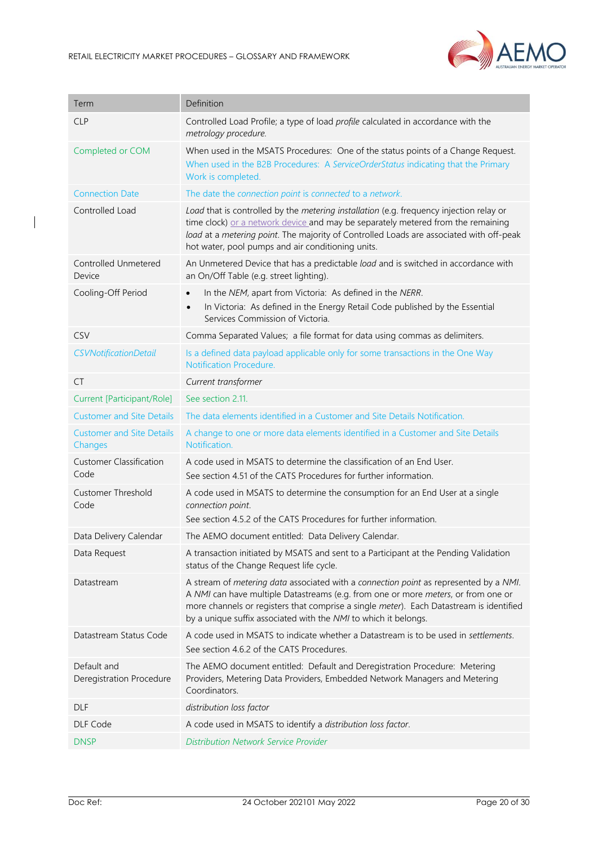

| Term                                        | Definition                                                                                                                                                                                                                                                                                                                               |
|---------------------------------------------|------------------------------------------------------------------------------------------------------------------------------------------------------------------------------------------------------------------------------------------------------------------------------------------------------------------------------------------|
| <b>CLP</b>                                  | Controlled Load Profile; a type of load profile calculated in accordance with the<br>metrology procedure.                                                                                                                                                                                                                                |
| Completed or COM                            | When used in the MSATS Procedures: One of the status points of a Change Request.<br>When used in the B2B Procedures: A ServiceOrderStatus indicating that the Primary<br>Work is completed.                                                                                                                                              |
| <b>Connection Date</b>                      | The date the connection point is connected to a network.                                                                                                                                                                                                                                                                                 |
| Controlled Load                             | Load that is controlled by the metering installation (e.g. frequency injection relay or<br>time clock) or a network device and may be separately metered from the remaining<br>load at a metering point. The majority of Controlled Loads are associated with off-peak<br>hot water, pool pumps and air conditioning units.              |
| Controlled Unmetered<br>Device              | An Unmetered Device that has a predictable load and is switched in accordance with<br>an On/Off Table (e.g. street lighting).                                                                                                                                                                                                            |
| Cooling-Off Period                          | In the NEM, apart from Victoria: As defined in the NERR.<br>$\bullet$<br>In Victoria: As defined in the Energy Retail Code published by the Essential<br>$\bullet$<br>Services Commission of Victoria.                                                                                                                                   |
| CSV                                         | Comma Separated Values; a file format for data using commas as delimiters.                                                                                                                                                                                                                                                               |
| <b>CSVNotificationDetail</b>                | Is a defined data payload applicable only for some transactions in the One Way<br><b>Notification Procedure.</b>                                                                                                                                                                                                                         |
| <b>CT</b>                                   | Current transformer                                                                                                                                                                                                                                                                                                                      |
| Current [Participant/Role]                  | See section 2.11.                                                                                                                                                                                                                                                                                                                        |
| <b>Customer and Site Details</b>            | The data elements identified in a Customer and Site Details Notification.                                                                                                                                                                                                                                                                |
| <b>Customer and Site Details</b><br>Changes | A change to one or more data elements identified in a Customer and Site Details<br>Notification.                                                                                                                                                                                                                                         |
| <b>Customer Classification</b><br>Code      | A code used in MSATS to determine the classification of an End User.<br>See section 4.51 of the CATS Procedures for further information.                                                                                                                                                                                                 |
| <b>Customer Threshold</b><br>Code           | A code used in MSATS to determine the consumption for an End User at a single<br>connection point.<br>See section 4.5.2 of the CATS Procedures for further information.                                                                                                                                                                  |
| Data Delivery Calendar                      | The AEMO document entitled: Data Delivery Calendar.                                                                                                                                                                                                                                                                                      |
| Data Request                                | A transaction initiated by MSATS and sent to a Participant at the Pending Validation<br>status of the Change Request life cycle.                                                                                                                                                                                                         |
| Datastream                                  | A stream of metering data associated with a connection point as represented by a NMI.<br>A NMI can have multiple Datastreams (e.g. from one or more meters, or from one or<br>more channels or registers that comprise a single meter). Each Datastream is identified<br>by a unique suffix associated with the NMI to which it belongs. |
| Datastream Status Code                      | A code used in MSATS to indicate whether a Datastream is to be used in settlements.<br>See section 4.6.2 of the CATS Procedures.                                                                                                                                                                                                         |
| Default and<br>Deregistration Procedure     | The AEMO document entitled: Default and Deregistration Procedure: Metering<br>Providers, Metering Data Providers, Embedded Network Managers and Metering<br>Coordinators.                                                                                                                                                                |
| <b>DLF</b>                                  | distribution loss factor                                                                                                                                                                                                                                                                                                                 |
| DLF Code                                    | A code used in MSATS to identify a distribution loss factor.                                                                                                                                                                                                                                                                             |
| <b>DNSP</b>                                 | <b>Distribution Network Service Provider</b>                                                                                                                                                                                                                                                                                             |

 $\overline{\phantom{a}}$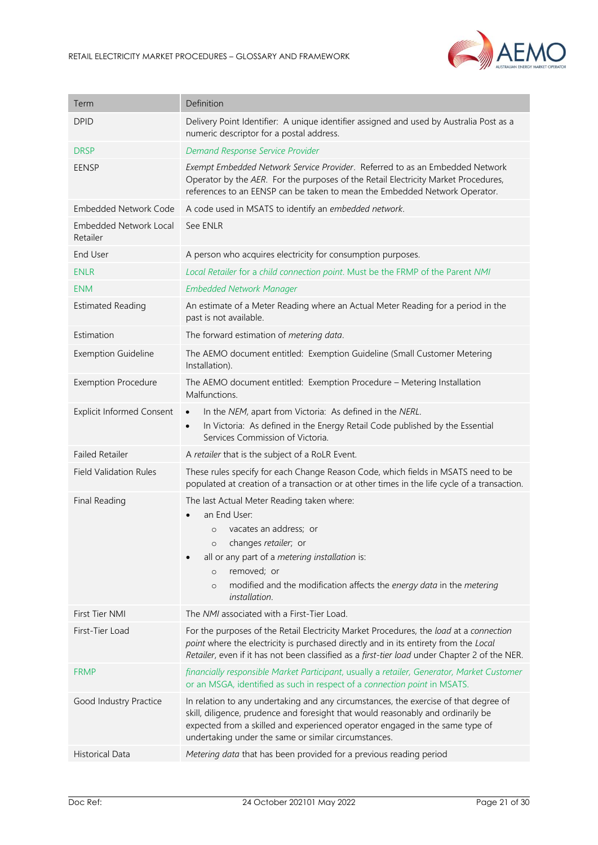

| Term                                      | Definition                                                                                                                                                                                                                                                                                                       |
|-------------------------------------------|------------------------------------------------------------------------------------------------------------------------------------------------------------------------------------------------------------------------------------------------------------------------------------------------------------------|
| <b>DPID</b>                               | Delivery Point Identifier: A unique identifier assigned and used by Australia Post as a<br>numeric descriptor for a postal address.                                                                                                                                                                              |
| <b>DRSP</b>                               | Demand Response Service Provider                                                                                                                                                                                                                                                                                 |
| <b>EENSP</b>                              | Exempt Embedded Network Service Provider. Referred to as an Embedded Network<br>Operator by the AER. For the purposes of the Retail Electricity Market Procedures,<br>references to an EENSP can be taken to mean the Embedded Network Operator.                                                                 |
| <b>Embedded Network Code</b>              | A code used in MSATS to identify an embedded network.                                                                                                                                                                                                                                                            |
| <b>Embedded Network Local</b><br>Retailer | See ENLR                                                                                                                                                                                                                                                                                                         |
| <b>End User</b>                           | A person who acquires electricity for consumption purposes.                                                                                                                                                                                                                                                      |
| <b>ENLR</b>                               | Local Retailer for a child connection point. Must be the FRMP of the Parent NMI                                                                                                                                                                                                                                  |
| <b>ENM</b>                                | <b>Embedded Network Manager</b>                                                                                                                                                                                                                                                                                  |
| <b>Estimated Reading</b>                  | An estimate of a Meter Reading where an Actual Meter Reading for a period in the<br>past is not available.                                                                                                                                                                                                       |
| Estimation                                | The forward estimation of metering data.                                                                                                                                                                                                                                                                         |
| <b>Exemption Guideline</b>                | The AEMO document entitled: Exemption Guideline (Small Customer Metering<br>Installation).                                                                                                                                                                                                                       |
| <b>Exemption Procedure</b>                | The AEMO document entitled: Exemption Procedure - Metering Installation<br>Malfunctions.                                                                                                                                                                                                                         |
| <b>Explicit Informed Consent</b>          | In the NEM, apart from Victoria: As defined in the NERL.<br>$\bullet$<br>In Victoria: As defined in the Energy Retail Code published by the Essential<br>$\bullet$<br>Services Commission of Victoria.                                                                                                           |
| <b>Failed Retailer</b>                    | A retailer that is the subject of a RoLR Event.                                                                                                                                                                                                                                                                  |
| <b>Field Validation Rules</b>             | These rules specify for each Change Reason Code, which fields in MSATS need to be<br>populated at creation of a transaction or at other times in the life cycle of a transaction.                                                                                                                                |
| Final Reading                             | The last Actual Meter Reading taken where:<br>an End User:<br>vacates an address; or<br>$\circ$<br>o changes retailer; or<br>all or any part of a metering installation is:<br>removed; or<br>$\circ$<br>modified and the modification affects the energy data in the metering<br>$\circ$<br>installation.       |
| First Tier NMI                            | The NMI associated with a First-Tier Load.                                                                                                                                                                                                                                                                       |
| First-Tier Load                           | For the purposes of the Retail Electricity Market Procedures, the load at a connection<br>point where the electricity is purchased directly and in its entirety from the Local<br>Retailer, even if it has not been classified as a first-tier load under Chapter 2 of the NER.                                  |
| <b>FRMP</b>                               | financially responsible Market Participant, usually a retailer, Generator, Market Customer<br>or an MSGA, identified as such in respect of a connection point in MSATS.                                                                                                                                          |
| Good Industry Practice                    | In relation to any undertaking and any circumstances, the exercise of that degree of<br>skill, diligence, prudence and foresight that would reasonably and ordinarily be<br>expected from a skilled and experienced operator engaged in the same type of<br>undertaking under the same or similar circumstances. |
| Historical Data                           | Metering data that has been provided for a previous reading period                                                                                                                                                                                                                                               |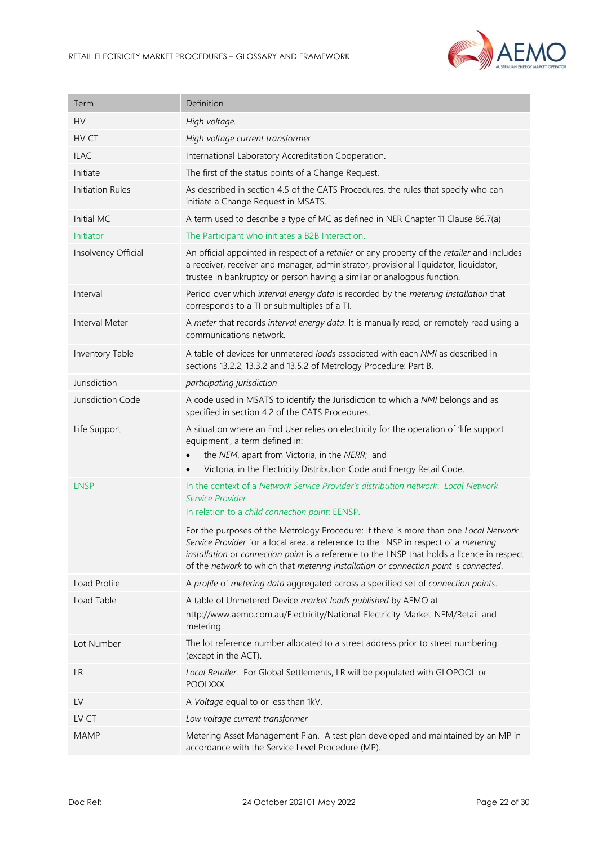

| Term                | Definition                                                                                                                                                                                                                                                                                                                                                         |
|---------------------|--------------------------------------------------------------------------------------------------------------------------------------------------------------------------------------------------------------------------------------------------------------------------------------------------------------------------------------------------------------------|
| HV                  | High voltage.                                                                                                                                                                                                                                                                                                                                                      |
| HV CT               | High voltage current transformer                                                                                                                                                                                                                                                                                                                                   |
| <b>ILAC</b>         | International Laboratory Accreditation Cooperation.                                                                                                                                                                                                                                                                                                                |
| Initiate            | The first of the status points of a Change Request.                                                                                                                                                                                                                                                                                                                |
| Initiation Rules    | As described in section 4.5 of the CATS Procedures, the rules that specify who can<br>initiate a Change Request in MSATS.                                                                                                                                                                                                                                          |
| Initial MC          | A term used to describe a type of MC as defined in NER Chapter 11 Clause 86.7(a)                                                                                                                                                                                                                                                                                   |
| Initiator           | The Participant who initiates a B2B Interaction.                                                                                                                                                                                                                                                                                                                   |
| Insolvency Official | An official appointed in respect of a retailer or any property of the retailer and includes<br>a receiver, receiver and manager, administrator, provisional liquidator, liquidator,<br>trustee in bankruptcy or person having a similar or analogous function.                                                                                                     |
| Interval            | Period over which interval energy data is recorded by the metering installation that<br>corresponds to a TI or submultiples of a TI.                                                                                                                                                                                                                               |
| Interval Meter      | A meter that records interval energy data. It is manually read, or remotely read using a<br>communications network.                                                                                                                                                                                                                                                |
| Inventory Table     | A table of devices for unmetered loads associated with each NMI as described in<br>sections 13.2.2, 13.3.2 and 13.5.2 of Metrology Procedure: Part B.                                                                                                                                                                                                              |
| Jurisdiction        | participating jurisdiction                                                                                                                                                                                                                                                                                                                                         |
| Jurisdiction Code   | A code used in MSATS to identify the Jurisdiction to which a NMI belongs and as<br>specified in section 4.2 of the CATS Procedures.                                                                                                                                                                                                                                |
| Life Support        | A situation where an End User relies on electricity for the operation of 'life support<br>equipment', a term defined in:<br>the NEM, apart from Victoria, in the NERR; and<br>Victoria, in the Electricity Distribution Code and Energy Retail Code.                                                                                                               |
| <b>LNSP</b>         | In the context of a Network Service Provider's distribution network: Local Network<br>Service Provider<br>In relation to a child connection point: EENSP.                                                                                                                                                                                                          |
|                     | For the purposes of the Metrology Procedure: If there is more than one Local Network<br>Service Provider for a local area, a reference to the LNSP in respect of a metering<br>installation or connection point is a reference to the LNSP that holds a licence in respect<br>of the network to which that metering installation or connection point is connected. |
| Load Profile        | A profile of metering data aggregated across a specified set of connection points.                                                                                                                                                                                                                                                                                 |
| Load Table          | A table of Unmetered Device market loads published by AEMO at<br>http://www.aemo.com.au/Electricity/National-Electricity-Market-NEM/Retail-and-<br>metering.                                                                                                                                                                                                       |
| Lot Number          | The lot reference number allocated to a street address prior to street numbering<br>(except in the ACT).                                                                                                                                                                                                                                                           |
| <b>LR</b>           | Local Retailer. For Global Settlements, LR will be populated with GLOPOOL or<br>POOLXXX.                                                                                                                                                                                                                                                                           |
| LV                  | A Voltage equal to or less than 1kV.                                                                                                                                                                                                                                                                                                                               |
| LV CT               | Low voltage current transformer                                                                                                                                                                                                                                                                                                                                    |
| <b>MAMP</b>         | Metering Asset Management Plan. A test plan developed and maintained by an MP in<br>accordance with the Service Level Procedure (MP).                                                                                                                                                                                                                              |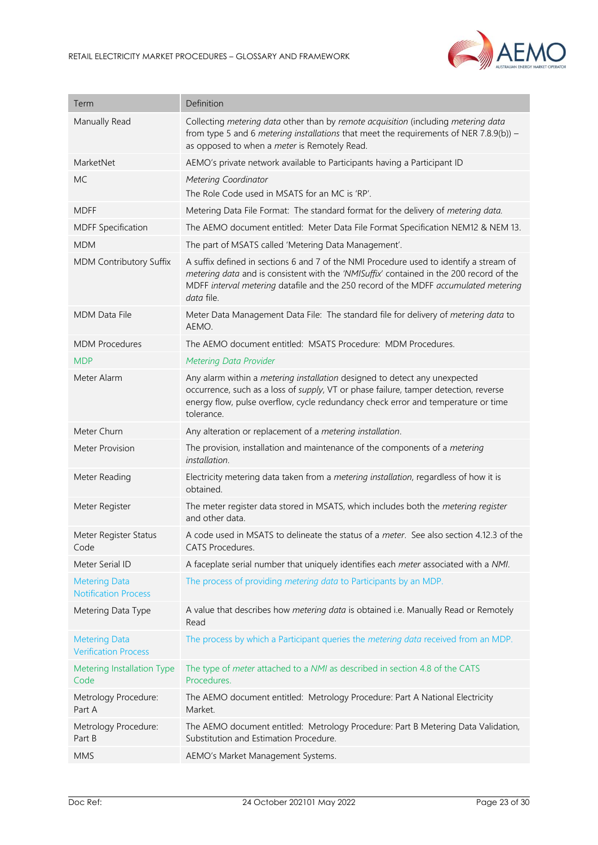

| Term                                                | Definition                                                                                                                                                                                                                                                                             |
|-----------------------------------------------------|----------------------------------------------------------------------------------------------------------------------------------------------------------------------------------------------------------------------------------------------------------------------------------------|
| Manually Read                                       | Collecting metering data other than by remote acquisition (including metering data<br>from type 5 and 6 metering installations that meet the requirements of NER 7.8.9(b)) –<br>as opposed to when a meter is Remotely Read.                                                           |
| MarketNet                                           | AEMO's private network available to Participants having a Participant ID                                                                                                                                                                                                               |
| <b>MC</b>                                           | Metering Coordinator<br>The Role Code used in MSATS for an MC is 'RP'.                                                                                                                                                                                                                 |
| <b>MDFF</b>                                         | Metering Data File Format: The standard format for the delivery of metering data.                                                                                                                                                                                                      |
| <b>MDFF Specification</b>                           | The AEMO document entitled: Meter Data File Format Specification NEM12 & NEM 13.                                                                                                                                                                                                       |
| <b>MDM</b>                                          | The part of MSATS called 'Metering Data Management'.                                                                                                                                                                                                                                   |
| MDM Contributory Suffix                             | A suffix defined in sections 6 and 7 of the NMI Procedure used to identify a stream of<br>metering data and is consistent with the 'NMISuffix' contained in the 200 record of the<br>MDFF interval metering datafile and the 250 record of the MDFF accumulated metering<br>data file. |
| <b>MDM Data File</b>                                | Meter Data Management Data File: The standard file for delivery of metering data to<br>AEMO.                                                                                                                                                                                           |
| <b>MDM Procedures</b>                               | The AEMO document entitled: MSATS Procedure: MDM Procedures.                                                                                                                                                                                                                           |
| <b>MDP</b>                                          | <b>Metering Data Provider</b>                                                                                                                                                                                                                                                          |
| Meter Alarm                                         | Any alarm within a metering installation designed to detect any unexpected<br>occurrence, such as a loss of supply, VT or phase failure, tamper detection, reverse<br>energy flow, pulse overflow, cycle redundancy check error and temperature or time<br>tolerance.                  |
| Meter Churn                                         | Any alteration or replacement of a metering installation.                                                                                                                                                                                                                              |
| <b>Meter Provision</b>                              | The provision, installation and maintenance of the components of a metering<br>installation.                                                                                                                                                                                           |
| Meter Reading                                       | Electricity metering data taken from a metering installation, regardless of how it is<br>obtained.                                                                                                                                                                                     |
| Meter Register                                      | The meter register data stored in MSATS, which includes both the metering register<br>and other data.                                                                                                                                                                                  |
| Meter Register Status<br>Code                       | A code used in MSATS to delineate the status of a meter. See also section 4.12.3 of the<br>CATS Procedures.                                                                                                                                                                            |
| Meter Serial ID                                     | A faceplate serial number that uniquely identifies each meter associated with a NMI.                                                                                                                                                                                                   |
| <b>Metering Data</b><br><b>Notification Process</b> | The process of providing metering data to Participants by an MDP.                                                                                                                                                                                                                      |
| Metering Data Type                                  | A value that describes how metering data is obtained i.e. Manually Read or Remotely<br>Read                                                                                                                                                                                            |
| <b>Metering Data</b><br><b>Verification Process</b> | The process by which a Participant queries the <i>metering data</i> received from an MDP.                                                                                                                                                                                              |
| Metering Installation Type<br>Code                  | The type of meter attached to a NMI as described in section 4.8 of the CATS<br>Procedures.                                                                                                                                                                                             |
| Metrology Procedure:<br>Part A                      | The AEMO document entitled: Metrology Procedure: Part A National Electricity<br>Market.                                                                                                                                                                                                |
| Metrology Procedure:<br>Part B                      | The AEMO document entitled: Metrology Procedure: Part B Metering Data Validation,<br>Substitution and Estimation Procedure.                                                                                                                                                            |
| <b>MMS</b>                                          | AEMO's Market Management Systems.                                                                                                                                                                                                                                                      |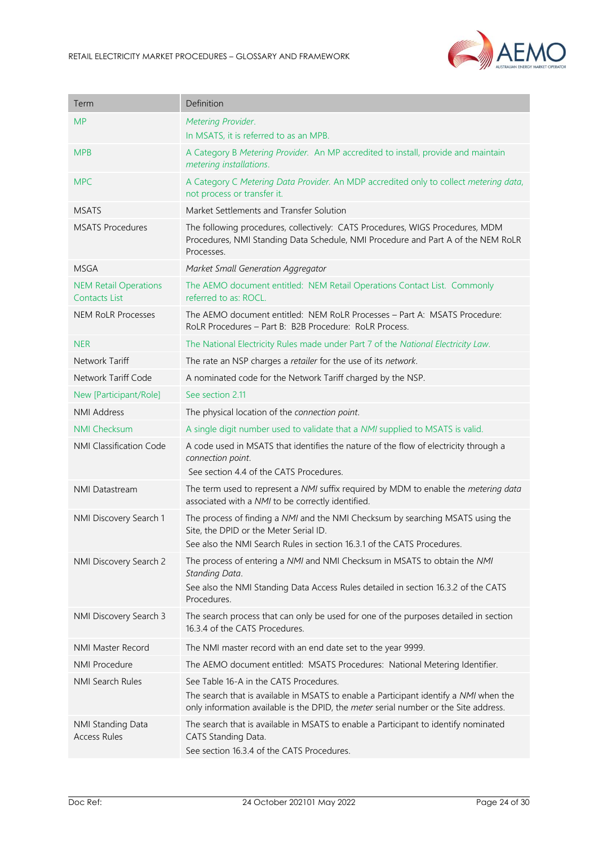

| Term                                                 | Definition                                                                                                                                                                                                              |
|------------------------------------------------------|-------------------------------------------------------------------------------------------------------------------------------------------------------------------------------------------------------------------------|
| <b>MP</b>                                            | Metering Provider.                                                                                                                                                                                                      |
|                                                      | In MSATS, it is referred to as an MPB.                                                                                                                                                                                  |
| <b>MPB</b>                                           | A Category B Metering Provider. An MP accredited to install, provide and maintain<br>metering installations.                                                                                                            |
| <b>MPC</b>                                           | A Category C Metering Data Provider. An MDP accredited only to collect metering data,<br>not process or transfer it.                                                                                                    |
| <b>MSATS</b>                                         | Market Settlements and Transfer Solution                                                                                                                                                                                |
| <b>MSATS Procedures</b>                              | The following procedures, collectively: CATS Procedures, WIGS Procedures, MDM<br>Procedures, NMI Standing Data Schedule, NMI Procedure and Part A of the NEM RoLR<br>Processes.                                         |
| <b>MSGA</b>                                          | Market Small Generation Aggregator                                                                                                                                                                                      |
| <b>NEM Retail Operations</b><br><b>Contacts List</b> | The AEMO document entitled: NEM Retail Operations Contact List. Commonly<br>referred to as: ROCL.                                                                                                                       |
| <b>NEM RoLR Processes</b>                            | The AEMO document entitled: NEM RoLR Processes - Part A: MSATS Procedure:<br>RoLR Procedures - Part B: B2B Procedure: RoLR Process.                                                                                     |
| <b>NER</b>                                           | The National Electricity Rules made under Part 7 of the National Electricity Law.                                                                                                                                       |
| Network Tariff                                       | The rate an NSP charges a retailer for the use of its network.                                                                                                                                                          |
| Network Tariff Code                                  | A nominated code for the Network Tariff charged by the NSP.                                                                                                                                                             |
| New [Participant/Role]                               | See section 2.11                                                                                                                                                                                                        |
| <b>NMI Address</b>                                   | The physical location of the connection point.                                                                                                                                                                          |
| <b>NMI Checksum</b>                                  | A single digit number used to validate that a NMI supplied to MSATS is valid.                                                                                                                                           |
| NMI Classification Code                              | A code used in MSATS that identifies the nature of the flow of electricity through a<br>connection point.<br>See section 4.4 of the CATS Procedures.                                                                    |
| <b>NMI Datastream</b>                                | The term used to represent a NMI suffix required by MDM to enable the metering data<br>associated with a NMI to be correctly identified.                                                                                |
| NMI Discovery Search 1                               | The process of finding a NMI and the NMI Checksum by searching MSATS using the<br>Site, the DPID or the Meter Serial ID.<br>See also the NMI Search Rules in section 16.3.1 of the CATS Procedures.                     |
| NMI Discovery Search 2                               | The process of entering a NMI and NMI Checksum in MSATS to obtain the NMI<br>Standing Data.<br>See also the NMI Standing Data Access Rules detailed in section 16.3.2 of the CATS<br>Procedures.                        |
| NMI Discovery Search 3                               | The search process that can only be used for one of the purposes detailed in section<br>16.3.4 of the CATS Procedures.                                                                                                  |
| NMI Master Record                                    | The NMI master record with an end date set to the year 9999.                                                                                                                                                            |
| <b>NMI Procedure</b>                                 | The AEMO document entitled: MSATS Procedures: National Metering Identifier.                                                                                                                                             |
| NMI Search Rules                                     | See Table 16-A in the CATS Procedures.<br>The search that is available in MSATS to enable a Participant identify a NMI when the<br>only information available is the DPID, the meter serial number or the Site address. |
| NMI Standing Data<br><b>Access Rules</b>             | The search that is available in MSATS to enable a Participant to identify nominated<br>CATS Standing Data.<br>See section 16.3.4 of the CATS Procedures.                                                                |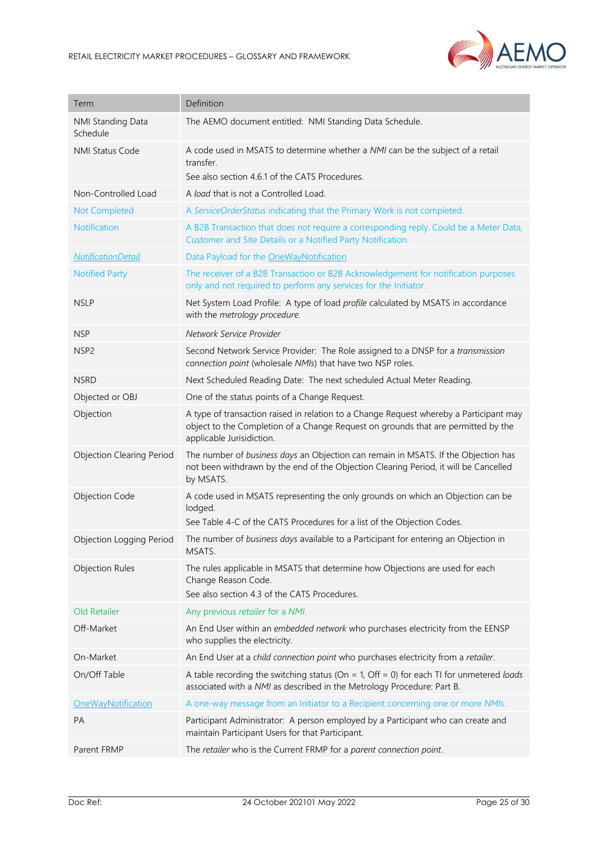

| Term                             | Definition                                                                                                                                                                                               |
|----------------------------------|----------------------------------------------------------------------------------------------------------------------------------------------------------------------------------------------------------|
| NMI Standing Data<br>Schedule    | The AEMO document entitled: NMI Standing Data Schedule.                                                                                                                                                  |
| <b>NMI Status Code</b>           | A code used in MSATS to determine whether a NMI can be the subject of a retail<br>transfer.<br>See also section 4.6.1 of the CATS Procedures.                                                            |
| Non-Controlled Load              | A load that is not a Controlled Load.                                                                                                                                                                    |
| Not Completed                    | A ServiceOrderStatus indicating that the Primary Work is not completed.                                                                                                                                  |
| Notification                     | A B2B Transaction that does not require a corresponding reply. Could be a Meter Data,<br>Customer and Site Details or a Notified Party Notification.                                                     |
| <b>NotificationDetail</b>        | Data Payload for the OneWayNotification                                                                                                                                                                  |
| <b>Notified Party</b>            | The receiver of a B2B Transaction or B2B Acknowledgement for notification purposes<br>only and not required to perform any services for the Initiator.                                                   |
| <b>NSLP</b>                      | Net System Load Profile: A type of load profile calculated by MSATS in accordance<br>with the metrology procedure.                                                                                       |
| <b>NSP</b>                       | Network Service Provider                                                                                                                                                                                 |
| NSP <sub>2</sub>                 | Second Network Service Provider: The Role assigned to a DNSP for a transmission<br>connection point (wholesale NMIs) that have two NSP roles.                                                            |
| <b>NSRD</b>                      | Next Scheduled Reading Date: The next scheduled Actual Meter Reading.                                                                                                                                    |
| Objected or OBJ                  | One of the status points of a Change Request.                                                                                                                                                            |
| Objection                        | A type of transaction raised in relation to a Change Request whereby a Participant may<br>object to the Completion of a Change Request on grounds that are permitted by the<br>applicable Jurisidiction. |
| <b>Objection Clearing Period</b> | The number of business days an Objection can remain in MSATS. If the Objection has<br>not been withdrawn by the end of the Objection Clearing Period, it will be Cancelled<br>by MSATS.                  |
| <b>Objection Code</b>            | A code used in MSATS representing the only grounds on which an Objection can be<br>lodged.<br>See Table 4-C of the CATS Procedures for a list of the Objection Codes.                                    |
| Objection Logging Period         | The number of business days available to a Participant for entering an Objection in<br>MSATS.                                                                                                            |
| <b>Objection Rules</b>           | The rules applicable in MSATS that determine how Objections are used for each<br>Change Reason Code.<br>See also section 4.3 of the CATS Procedures.                                                     |
| Old Retailer                     | Any previous retailer for a NMI.                                                                                                                                                                         |
| Off-Market                       | An End User within an embedded network who purchases electricity from the EENSP<br>who supplies the electricity.                                                                                         |
| On-Market                        | An End User at a child connection point who purchases electricity from a retailer.                                                                                                                       |
| On/Off Table                     | A table recording the switching status (On = 1, Off = 0) for each TI for unmetered loads<br>associated with a NMI as described in the Metrology Procedure: Part B.                                       |
| OneWayNotification               | A one-way message from an Initiator to a Recipient concerning one or more NMIs.                                                                                                                          |
| PA                               | Participant Administrator: A person employed by a Participant who can create and<br>maintain Participant Users for that Participant.                                                                     |
| Parent FRMP                      | The retailer who is the Current FRMP for a parent connection point.                                                                                                                                      |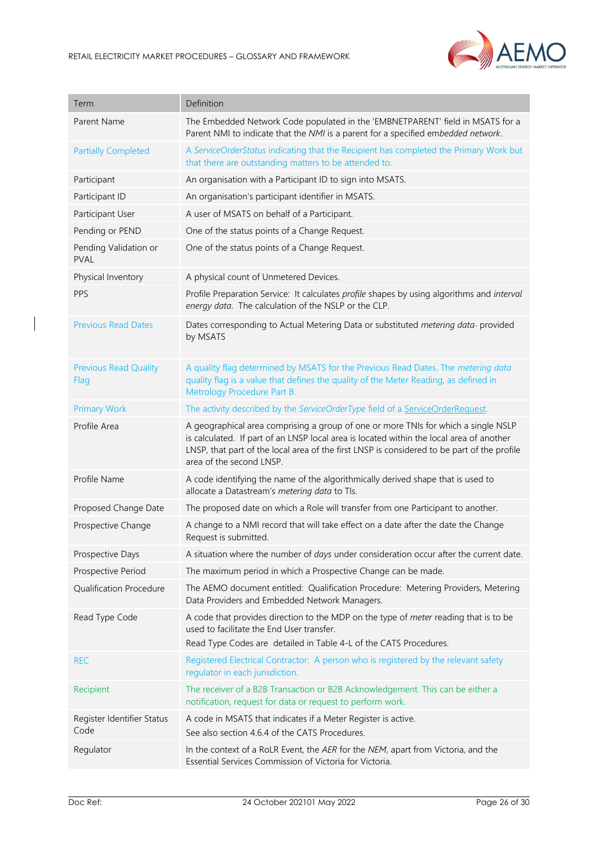

| Term                                 | Definition                                                                                                                                                                                                                                                                                                |
|--------------------------------------|-----------------------------------------------------------------------------------------------------------------------------------------------------------------------------------------------------------------------------------------------------------------------------------------------------------|
| Parent Name                          | The Embedded Network Code populated in the 'EMBNETPARENT' field in MSATS for a<br>Parent NMI to indicate that the NMI is a parent for a specified embedded network.                                                                                                                                       |
| <b>Partially Completed</b>           | A ServiceOrderStatus indicating that the Recipient has completed the Primary Work but<br>that there are outstanding matters to be attended to.                                                                                                                                                            |
| Participant                          | An organisation with a Participant ID to sign into MSATS.                                                                                                                                                                                                                                                 |
| Participant ID                       | An organisation's participant identifier in MSATS.                                                                                                                                                                                                                                                        |
| Participant User                     | A user of MSATS on behalf of a Participant.                                                                                                                                                                                                                                                               |
| Pending or PEND                      | One of the status points of a Change Request.                                                                                                                                                                                                                                                             |
| Pending Validation or<br><b>PVAL</b> | One of the status points of a Change Request.                                                                                                                                                                                                                                                             |
| Physical Inventory                   | A physical count of Unmetered Devices.                                                                                                                                                                                                                                                                    |
| PPS                                  | Profile Preparation Service: It calculates profile shapes by using algorithms and interval<br>energy data. The calculation of the NSLP or the CLP.                                                                                                                                                        |
| <b>Previous Read Dates</b>           | Dates corresponding to Actual Metering Data or substituted metering data-provided<br>by MSATS                                                                                                                                                                                                             |
| <b>Previous Read Quality</b><br>Flag | A quality flag determined by MSATS for the Previous Read Dates. The metering data<br>quality flag is a value that defines the quality of the Meter Reading, as defined in<br>Metrology Procedure Part B.                                                                                                  |
| <b>Primary Work</b>                  | The activity described by the ServiceOrderType field of a ServiceOrderRequest.                                                                                                                                                                                                                            |
| Profile Area                         | A geographical area comprising a group of one or more TNIs for which a single NSLP<br>is calculated. If part of an LNSP local area is located within the local area of another<br>LNSP, that part of the local area of the first LNSP is considered to be part of the profile<br>area of the second LNSP. |
| Profile Name                         | A code identifying the name of the algorithmically derived shape that is used to<br>allocate a Datastream's metering data to TIs.                                                                                                                                                                         |
| Proposed Change Date                 | The proposed date on which a Role will transfer from one Participant to another.                                                                                                                                                                                                                          |
| Prospective Change                   | A change to a NMI record that will take effect on a date after the date the Change<br>Request is submitted.                                                                                                                                                                                               |
| Prospective Days                     | A situation where the number of days under consideration occur after the current date.                                                                                                                                                                                                                    |
| Prospective Period                   | The maximum period in which a Prospective Change can be made.                                                                                                                                                                                                                                             |
| Qualification Procedure              | The AEMO document entitled: Qualification Procedure: Metering Providers, Metering<br>Data Providers and Embedded Network Managers.                                                                                                                                                                        |
| Read Type Code                       | A code that provides direction to the MDP on the type of meter reading that is to be<br>used to facilitate the End User transfer.<br>Read Type Codes are detailed in Table 4-L of the CATS Procedures.                                                                                                    |
| <b>REC</b>                           | Registered Electrical Contractor: A person who is registered by the relevant safety<br>regulator in each jurisdiction.                                                                                                                                                                                    |
| Recipient                            | The receiver of a B2B Transaction or B2B Acknowledgement. This can be either a<br>notification, request for data or request to perform work.                                                                                                                                                              |
| Register Identifier Status<br>Code   | A code in MSATS that indicates if a Meter Register is active.<br>See also section 4.6.4 of the CATS Procedures.                                                                                                                                                                                           |
| Regulator                            | In the context of a RoLR Event, the AER for the NEM, apart from Victoria, and the<br>Essential Services Commission of Victoria for Victoria.                                                                                                                                                              |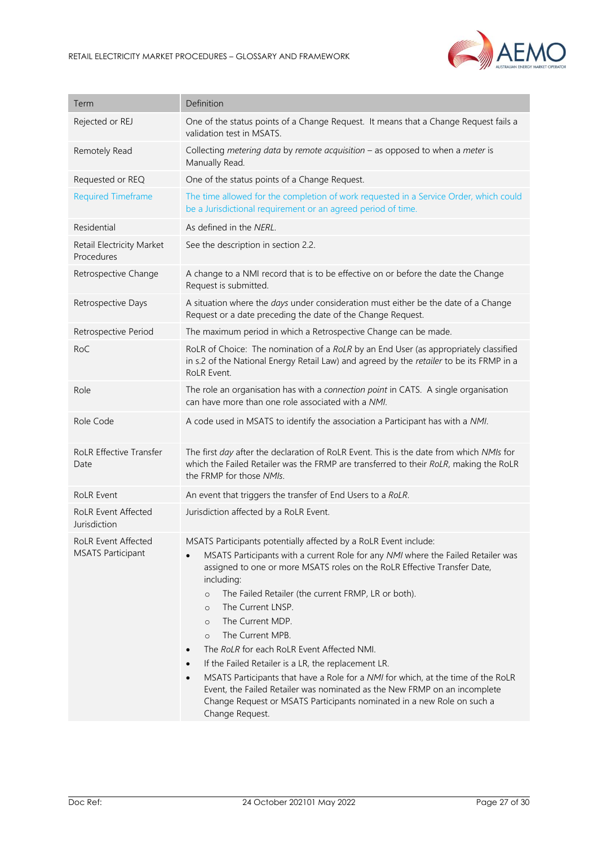

| Definition                                                                                                                                                                                                                                                                                                                                                                                                                                                                                                                                                                                                                                                                                                                                                                                                               |
|--------------------------------------------------------------------------------------------------------------------------------------------------------------------------------------------------------------------------------------------------------------------------------------------------------------------------------------------------------------------------------------------------------------------------------------------------------------------------------------------------------------------------------------------------------------------------------------------------------------------------------------------------------------------------------------------------------------------------------------------------------------------------------------------------------------------------|
| One of the status points of a Change Request. It means that a Change Request fails a<br>validation test in MSATS.                                                                                                                                                                                                                                                                                                                                                                                                                                                                                                                                                                                                                                                                                                        |
| Collecting metering data by remote acquisition $-$ as opposed to when a meter is<br>Manually Read.                                                                                                                                                                                                                                                                                                                                                                                                                                                                                                                                                                                                                                                                                                                       |
| One of the status points of a Change Request.                                                                                                                                                                                                                                                                                                                                                                                                                                                                                                                                                                                                                                                                                                                                                                            |
| The time allowed for the completion of work requested in a Service Order, which could<br>be a Jurisdictional requirement or an agreed period of time.                                                                                                                                                                                                                                                                                                                                                                                                                                                                                                                                                                                                                                                                    |
| As defined in the NERL.                                                                                                                                                                                                                                                                                                                                                                                                                                                                                                                                                                                                                                                                                                                                                                                                  |
| See the description in section 2.2.                                                                                                                                                                                                                                                                                                                                                                                                                                                                                                                                                                                                                                                                                                                                                                                      |
| A change to a NMI record that is to be effective on or before the date the Change<br>Request is submitted.                                                                                                                                                                                                                                                                                                                                                                                                                                                                                                                                                                                                                                                                                                               |
| A situation where the days under consideration must either be the date of a Change<br>Request or a date preceding the date of the Change Request.                                                                                                                                                                                                                                                                                                                                                                                                                                                                                                                                                                                                                                                                        |
| The maximum period in which a Retrospective Change can be made.                                                                                                                                                                                                                                                                                                                                                                                                                                                                                                                                                                                                                                                                                                                                                          |
| RoLR of Choice: The nomination of a RoLR by an End User (as appropriately classified<br>in s.2 of the National Energy Retail Law) and agreed by the retailer to be its FRMP in a<br>RoLR Event.                                                                                                                                                                                                                                                                                                                                                                                                                                                                                                                                                                                                                          |
| The role an organisation has with a connection point in CATS. A single organisation<br>can have more than one role associated with a NMI.                                                                                                                                                                                                                                                                                                                                                                                                                                                                                                                                                                                                                                                                                |
| A code used in MSATS to identify the association a Participant has with a NMI.                                                                                                                                                                                                                                                                                                                                                                                                                                                                                                                                                                                                                                                                                                                                           |
| The first day after the declaration of RoLR Event. This is the date from which NMIs for<br>which the Failed Retailer was the FRMP are transferred to their RoLR, making the RoLR<br>the FRMP for those NMIs.                                                                                                                                                                                                                                                                                                                                                                                                                                                                                                                                                                                                             |
| An event that triggers the transfer of End Users to a RoLR.                                                                                                                                                                                                                                                                                                                                                                                                                                                                                                                                                                                                                                                                                                                                                              |
| Jurisdiction affected by a RoLR Event.                                                                                                                                                                                                                                                                                                                                                                                                                                                                                                                                                                                                                                                                                                                                                                                   |
| MSATS Participants potentially affected by a RoLR Event include:<br>MSATS Participants with a current Role for any NMI where the Failed Retailer was<br>assigned to one or more MSATS roles on the RoLR Effective Transfer Date,<br>including:<br>The Failed Retailer (the current FRMP, LR or both).<br>$\circ$<br>The Current LNSP.<br>$\circ$<br>The Current MDP.<br>$\circ$<br>The Current MPB.<br>$\circ$<br>The RoLR for each RoLR Event Affected NMI.<br>$\bullet$<br>If the Failed Retailer is a LR, the replacement LR.<br>$\bullet$<br>MSATS Participants that have a Role for a NMI for which, at the time of the RoLR<br>$\bullet$<br>Event, the Failed Retailer was nominated as the New FRMP on an incomplete<br>Change Request or MSATS Participants nominated in a new Role on such a<br>Change Request. |
|                                                                                                                                                                                                                                                                                                                                                                                                                                                                                                                                                                                                                                                                                                                                                                                                                          |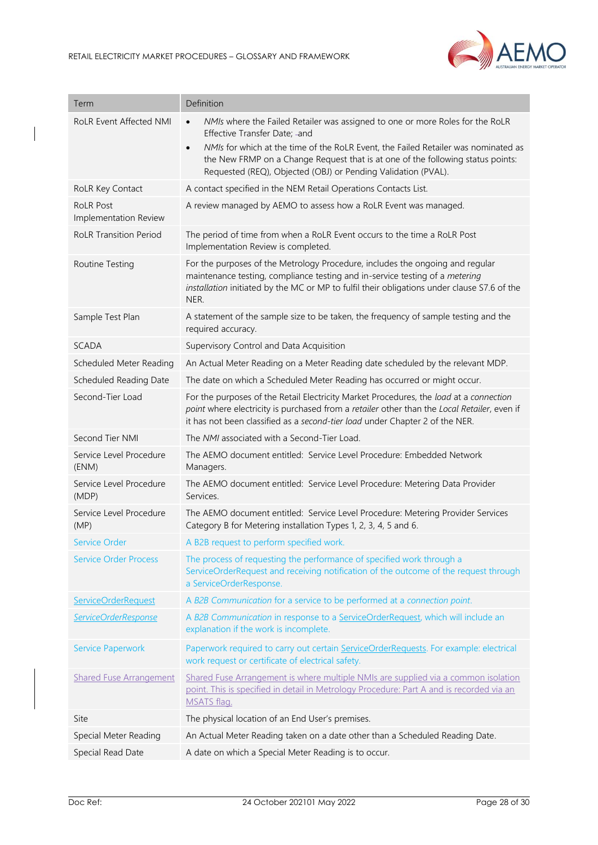

| Term                                      | Definition                                                                                                                                                                                                                                                                                                                                                                         |
|-------------------------------------------|------------------------------------------------------------------------------------------------------------------------------------------------------------------------------------------------------------------------------------------------------------------------------------------------------------------------------------------------------------------------------------|
| <b>RoLR Event Affected NMI</b>            | NMIs where the Failed Retailer was assigned to one or more Roles for the RoLR<br>$\bullet$<br>Effective Transfer Date; -and<br>NMIs for which at the time of the RoLR Event, the Failed Retailer was nominated as<br>$\bullet$<br>the New FRMP on a Change Request that is at one of the following status points:<br>Requested (REQ), Objected (OBJ) or Pending Validation (PVAL). |
| RoLR Key Contact                          | A contact specified in the NEM Retail Operations Contacts List.                                                                                                                                                                                                                                                                                                                    |
| <b>RoLR Post</b><br>Implementation Review | A review managed by AEMO to assess how a RoLR Event was managed.                                                                                                                                                                                                                                                                                                                   |
| <b>RoLR Transition Period</b>             | The period of time from when a RoLR Event occurs to the time a RoLR Post<br>Implementation Review is completed.                                                                                                                                                                                                                                                                    |
| Routine Testing                           | For the purposes of the Metrology Procedure, includes the ongoing and regular<br>maintenance testing, compliance testing and in-service testing of a metering<br>installation initiated by the MC or MP to fulfil their obligations under clause S7.6 of the<br>NER.                                                                                                               |
| Sample Test Plan                          | A statement of the sample size to be taken, the frequency of sample testing and the<br>required accuracy.                                                                                                                                                                                                                                                                          |
| <b>SCADA</b>                              | Supervisory Control and Data Acquisition                                                                                                                                                                                                                                                                                                                                           |
| Scheduled Meter Reading                   | An Actual Meter Reading on a Meter Reading date scheduled by the relevant MDP.                                                                                                                                                                                                                                                                                                     |
| Scheduled Reading Date                    | The date on which a Scheduled Meter Reading has occurred or might occur.                                                                                                                                                                                                                                                                                                           |
| Second-Tier Load                          | For the purposes of the Retail Electricity Market Procedures, the load at a connection<br>point where electricity is purchased from a retailer other than the Local Retailer, even if<br>it has not been classified as a second-tier load under Chapter 2 of the NER.                                                                                                              |
| Second Tier NMI                           | The NMI associated with a Second-Tier Load.                                                                                                                                                                                                                                                                                                                                        |
|                                           |                                                                                                                                                                                                                                                                                                                                                                                    |
| Service Level Procedure<br>(ENM)          | The AEMO document entitled: Service Level Procedure: Embedded Network<br>Managers.                                                                                                                                                                                                                                                                                                 |
| Service Level Procedure<br>(MDP)          | The AEMO document entitled: Service Level Procedure: Metering Data Provider<br>Services.                                                                                                                                                                                                                                                                                           |
| Service Level Procedure<br>(MP)           | The AEMO document entitled: Service Level Procedure: Metering Provider Services<br>Category B for Metering installation Types 1, 2, 3, 4, 5 and 6.                                                                                                                                                                                                                                 |
| Service Order                             | A B2B request to perform specified work.                                                                                                                                                                                                                                                                                                                                           |
| <b>Service Order Process</b>              | The process of requesting the performance of specified work through a<br>ServiceOrderRequest and receiving notification of the outcome of the request through<br>a ServiceOrderResponse.                                                                                                                                                                                           |
| <b>ServiceOrderRequest</b>                | A B2B Communication for a service to be performed at a connection point.                                                                                                                                                                                                                                                                                                           |
| ServiceOrderResponse                      | A B2B Communication in response to a ServiceOrderRequest, which will include an<br>explanation if the work is incomplete.                                                                                                                                                                                                                                                          |
| <b>Service Paperwork</b>                  | Paperwork required to carry out certain ServiceOrderRequests. For example: electrical<br>work request or certificate of electrical safety.                                                                                                                                                                                                                                         |
| <b>Shared Fuse Arrangement</b>            | Shared Fuse Arrangement is where multiple NMIs are supplied via a common isolation<br>point. This is specified in detail in Metrology Procedure: Part A and is recorded via an<br>MSATS flag.                                                                                                                                                                                      |
| Site                                      | The physical location of an End User's premises.                                                                                                                                                                                                                                                                                                                                   |
| Special Meter Reading                     | An Actual Meter Reading taken on a date other than a Scheduled Reading Date.                                                                                                                                                                                                                                                                                                       |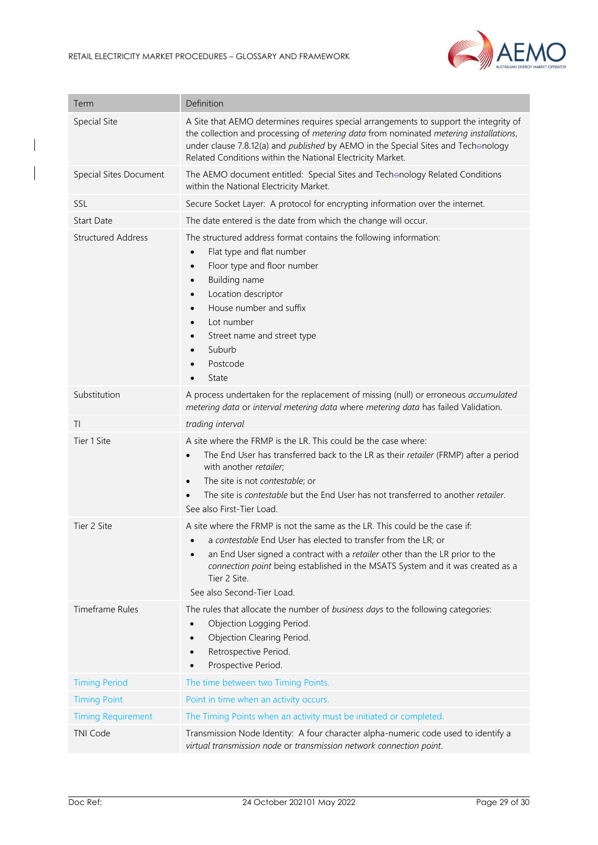

| Term                      | Definition                                                                                                                                                                                                                                                                                                                                                                            |
|---------------------------|---------------------------------------------------------------------------------------------------------------------------------------------------------------------------------------------------------------------------------------------------------------------------------------------------------------------------------------------------------------------------------------|
| Special Site              | A Site that AEMO determines requires special arrangements to support the integrity of<br>the collection and processing of metering data from nominated metering installations,<br>under clause 7.8.12(a) and published by AEMO in the Special Sites and Techonology<br>Related Conditions within the National Electricity Market.                                                     |
| Special Sites Document    | The AEMO document entitled: Special Sites and Techonology Related Conditions<br>within the National Electricity Market.                                                                                                                                                                                                                                                               |
| SSL                       | Secure Socket Layer: A protocol for encrypting information over the internet.                                                                                                                                                                                                                                                                                                         |
| <b>Start Date</b>         | The date entered is the date from which the change will occur.                                                                                                                                                                                                                                                                                                                        |
| <b>Structured Address</b> | The structured address format contains the following information:<br>Flat type and flat number<br>$\bullet$<br>Floor type and floor number<br>$\bullet$<br>Building name<br>$\bullet$<br>Location descriptor<br>$\bullet$<br>House number and suffix<br>$\bullet$<br>Lot number<br>$\bullet$<br>Street name and street type<br>٠<br>Suburb<br>$\bullet$<br>Postcode<br>State          |
| Substitution              | A process undertaken for the replacement of missing (null) or erroneous accumulated<br>metering data or interval metering data where metering data has failed Validation.                                                                                                                                                                                                             |
| TI                        | trading interval                                                                                                                                                                                                                                                                                                                                                                      |
| Tier 1 Site               | A site where the FRMP is the LR. This could be the case where:<br>The End User has transferred back to the LR as their retailer (FRMP) after a period<br>$\bullet$<br>with another retailer;<br>The site is not <i>contestable</i> ; or<br>$\bullet$<br>The site is <i>contestable</i> but the End User has not transferred to another <i>retailer</i> .<br>See also First-Tier Load. |
| Tier 2 Site               | A site where the FRMP is not the same as the LR. This could be the case if:<br>a contestable End User has elected to transfer from the LR; or<br>an End User signed a contract with a retailer other than the LR prior to the<br>$\bullet$<br>connection point being established in the MSATS System and it was created as a<br>Tier 2 Site.<br>See also Second-Tier Load.            |
| <b>Timeframe Rules</b>    | The rules that allocate the number of business days to the following categories:<br>Objection Logging Period.<br>Objection Clearing Period.<br>$\bullet$<br>Retrospective Period.<br>$\bullet$<br>Prospective Period.                                                                                                                                                                 |
| <b>Timing Period</b>      | The time between two Timing Points.                                                                                                                                                                                                                                                                                                                                                   |
| <b>Timing Point</b>       | Point in time when an activity occurs.                                                                                                                                                                                                                                                                                                                                                |
| <b>Timing Requirement</b> | The Timing Points when an activity must be initiated or completed.                                                                                                                                                                                                                                                                                                                    |
| <b>TNI Code</b>           | Transmission Node Identity: A four character alpha-numeric code used to identify a<br>virtual transmission node or transmission network connection point.                                                                                                                                                                                                                             |